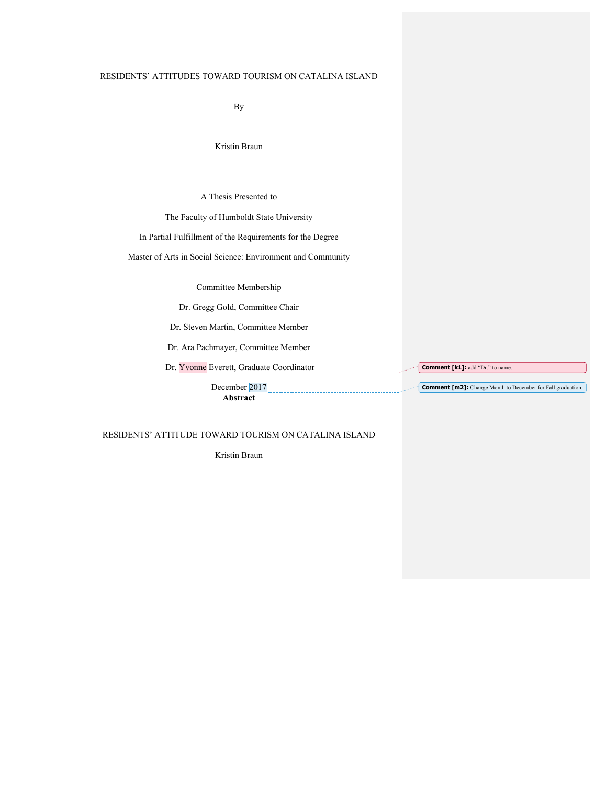## RESIDENTS' ATTITUDES TOWARD TOURISM ON CATALINA ISLAND

By

Kristin Braun

A Thesis Presented to

The Faculty of Humboldt State University

In Partial Fulfillment of the Requirements for the Degree

Master of Arts in Social Science: Environment and Community

Committee Membership

Dr. Gregg Gold, Committee Chair

Dr. Steven Martin, Committee Member

Dr. Ara Pachmayer, Committee Member

Dr. Yvonne Everett, Graduate Coordinator

**Comment [k1]:** add "Dr." to name.

**Comment [m2]:** Change Month to December for Fall graduation.

December 2017 **Abstract**

RESIDENTS' ATTITUDE TOWARD TOURISM ON CATALINA ISLAND

Kristin Braun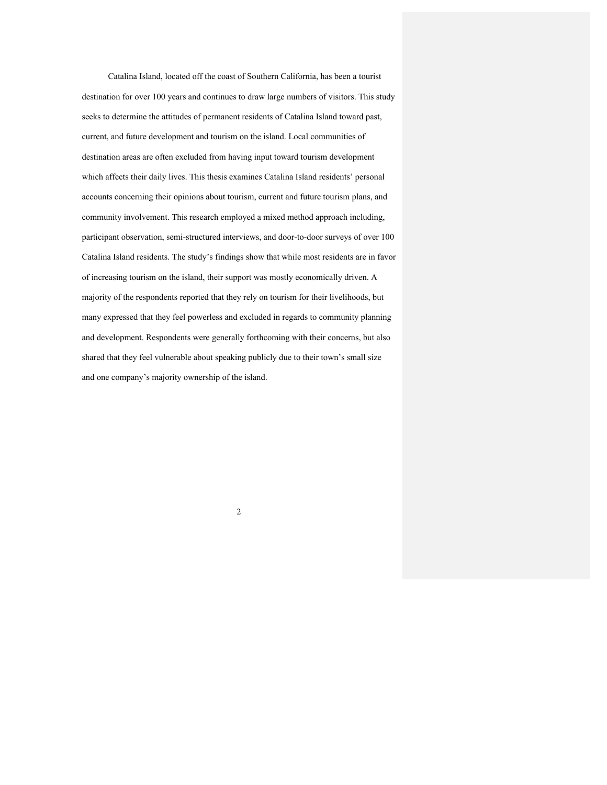Catalina Island, located off the coast of Southern California, has been a tourist destination for over 100 years and continues to draw large numbers of visitors. This study seeks to determine the attitudes of permanent residents of Catalina Island toward past, current, and future development and tourism on the island. Local communities of destination areas are often excluded from having input toward tourism development which affects their daily lives. This thesis examines Catalina Island residents' personal accounts concerning their opinions about tourism, current and future tourism plans, and community involvement. This research employed a mixed method approach including, participant observation, semi-structured interviews, and door-to-door surveys of over 100 Catalina Island residents. The study's findings show that while most residents are in favor of increasing tourism on the island, their support was mostly economically driven. A majority of the respondents reported that they rely on tourism for their livelihoods, but many expressed that they feel powerless and excluded in regards to community planning and development. Respondents were generally forthcoming with their concerns, but also shared that they feel vulnerable about speaking publicly due to their town's small size and one company's majority ownership of the island.

2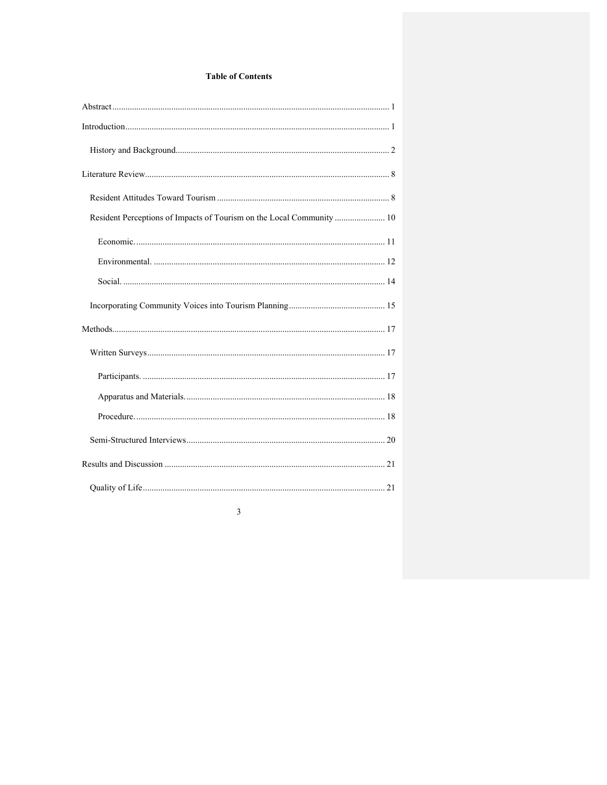## **Table of Contents**

| Resident Perceptions of Impacts of Tourism on the Local Community  10 |  |
|-----------------------------------------------------------------------|--|
|                                                                       |  |
|                                                                       |  |
|                                                                       |  |
|                                                                       |  |
|                                                                       |  |
|                                                                       |  |
|                                                                       |  |
|                                                                       |  |
|                                                                       |  |
|                                                                       |  |
|                                                                       |  |
|                                                                       |  |

 $\overline{\mathbf{3}}$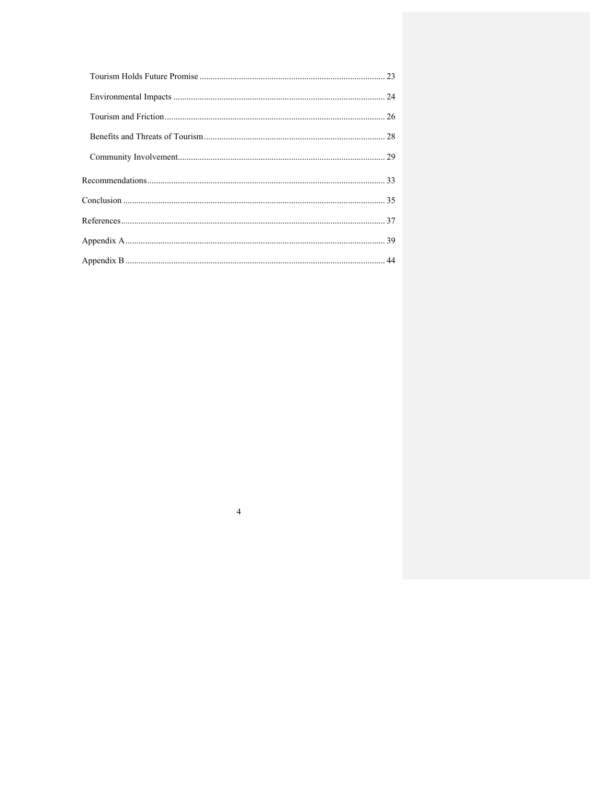$\overline{4}$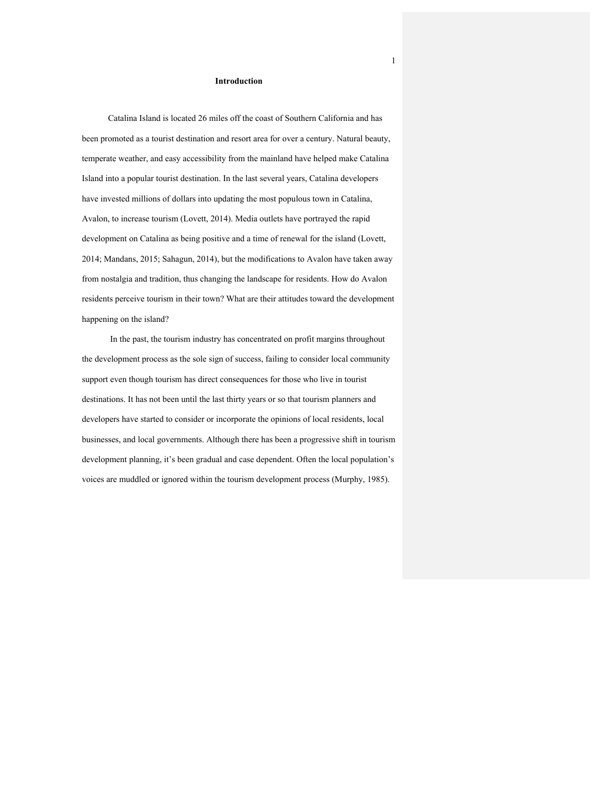### **Introduction**

Catalina Island is located 26 miles off the coast of Southern California and has been promoted as a tourist destination and resort area for over a century. Natural beauty, temperate weather, and easy accessibility from the mainland have helped make Catalina Island into a popular tourist destination. In the last several years, Catalina developers have invested millions of dollars into updating the most populous town in Catalina, Avalon, to increase tourism (Lovett, 2014). Media outlets have portrayed the rapid development on Catalina as being positive and a time of renewal for the island (Lovett, 2014; Mandans, 2015; Sahagun, 2014), but the modifications to Avalon have taken away from nostalgia and tradition, thus changing the landscape for residents. How do Avalon residents perceive tourism in their town? What are their attitudes toward the development happening on the island?

In the past, the tourism industry has concentrated on profit margins throughout the development process as the sole sign of success, failing to consider local community support even though tourism has direct consequences for those who live in tourist destinations. It has not been until the last thirty years or so that tourism planners and developers have started to consider or incorporate the opinions of local residents, local businesses, and local governments. Although there has been a progressive shift in tourism development planning, it's been gradual and case dependent. Often the local population's voices are muddled or ignored within the tourism development process (Murphy, 1985).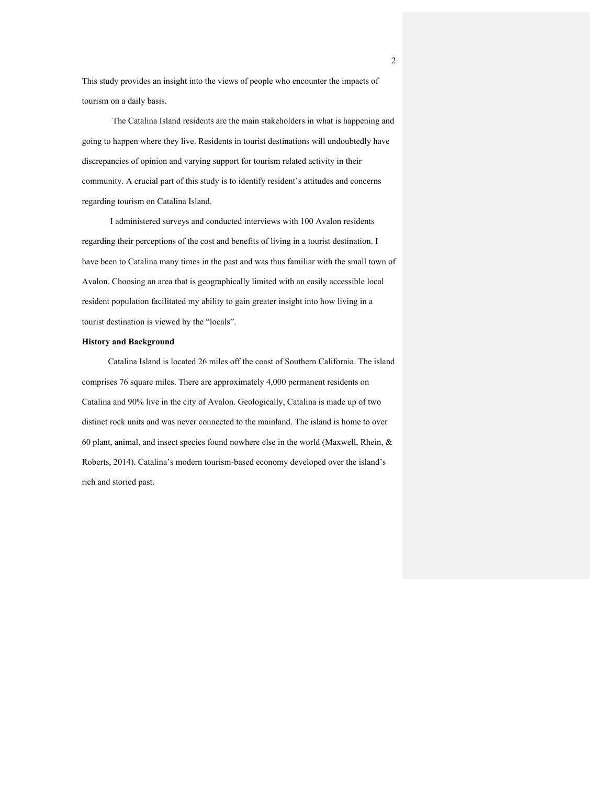This study provides an insight into the views of people who encounter the impacts of tourism on a daily basis.

 The Catalina Island residents are the main stakeholders in what is happening and going to happen where they live. Residents in tourist destinations will undoubtedly have discrepancies of opinion and varying support for tourism related activity in their community. A crucial part of this study is to identify resident's attitudes and concerns regarding tourism on Catalina Island.

I administered surveys and conducted interviews with 100 Avalon residents regarding their perceptions of the cost and benefits of living in a tourist destination. I have been to Catalina many times in the past and was thus familiar with the small town of Avalon. Choosing an area that is geographically limited with an easily accessible local resident population facilitated my ability to gain greater insight into how living in a tourist destination is viewed by the "locals".

## **History and Background**

Catalina Island is located 26 miles off the coast of Southern California. The island comprises 76 square miles. There are approximately 4,000 permanent residents on Catalina and 90% live in the city of Avalon. Geologically, Catalina is made up of two distinct rock units and was never connected to the mainland. The island is home to over 60 plant, animal, and insect species found nowhere else in the world (Maxwell, Rhein, & Roberts, 2014). Catalina's modern tourism-based economy developed over the island's rich and storied past.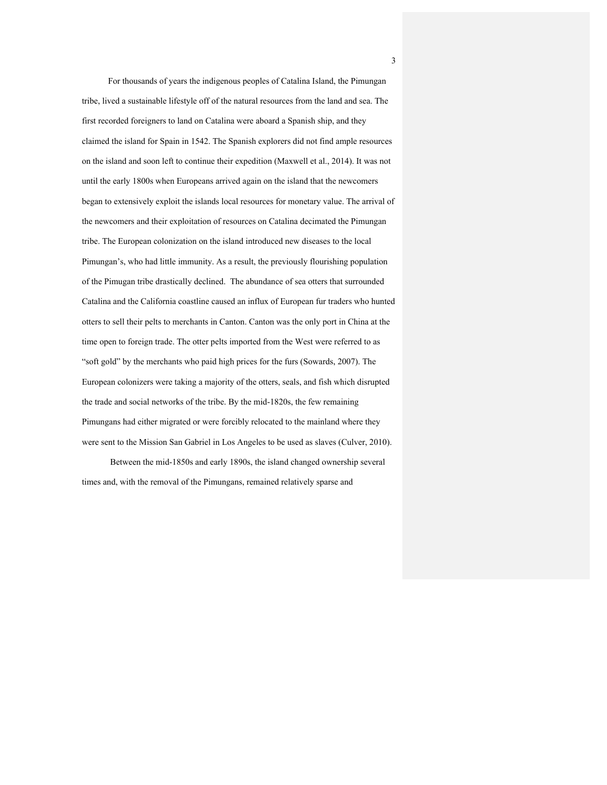For thousands of years the indigenous peoples of Catalina Island, the Pimungan tribe, lived a sustainable lifestyle off of the natural resources from the land and sea. The first recorded foreigners to land on Catalina were aboard a Spanish ship, and they claimed the island for Spain in 1542. The Spanish explorers did not find ample resources on the island and soon left to continue their expedition (Maxwell et al., 2014). It was not until the early 1800s when Europeans arrived again on the island that the newcomers began to extensively exploit the islands local resources for monetary value. The arrival of the newcomers and their exploitation of resources on Catalina decimated the Pimungan tribe. The European colonization on the island introduced new diseases to the local Pimungan's, who had little immunity. As a result, the previously flourishing population of the Pimugan tribe drastically declined. The abundance of sea otters that surrounded Catalina and the California coastline caused an influx of European fur traders who hunted otters to sell their pelts to merchants in Canton. Canton was the only port in China at the time open to foreign trade. The otter pelts imported from the West were referred to as "soft gold" by the merchants who paid high prices for the furs (Sowards, 2007). The European colonizers were taking a majority of the otters, seals, and fish which disrupted the trade and social networks of the tribe. By the mid-1820s, the few remaining Pimungans had either migrated or were forcibly relocated to the mainland where they were sent to the Mission San Gabriel in Los Angeles to be used as slaves (Culver, 2010).

Between the mid-1850s and early 1890s, the island changed ownership several times and, with the removal of the Pimungans, remained relatively sparse and

3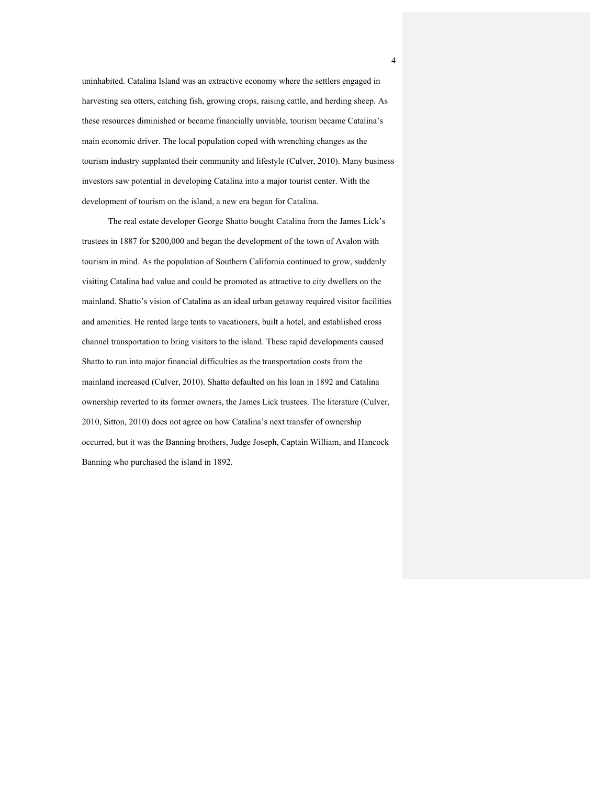uninhabited. Catalina Island was an extractive economy where the settlers engaged in harvesting sea otters, catching fish, growing crops, raising cattle, and herding sheep. As these resources diminished or became financially unviable, tourism became Catalina's main economic driver. The local population coped with wrenching changes as the tourism industry supplanted their community and lifestyle (Culver, 2010). Many business investors saw potential in developing Catalina into a major tourist center. With the development of tourism on the island, a new era began for Catalina.

The real estate developer George Shatto bought Catalina from the James Lick's trustees in 1887 for \$200,000 and began the development of the town of Avalon with tourism in mind. As the population of Southern California continued to grow, suddenly visiting Catalina had value and could be promoted as attractive to city dwellers on the mainland. Shatto's vision of Catalina as an ideal urban getaway required visitor facilities and amenities. He rented large tents to vacationers, built a hotel, and established cross channel transportation to bring visitors to the island. These rapid developments caused Shatto to run into major financial difficulties as the transportation costs from the mainland increased (Culver, 2010). Shatto defaulted on his loan in 1892 and Catalina ownership reverted to its former owners, the James Lick trustees. The literature (Culver, 2010, Sitton, 2010) does not agree on how Catalina's next transfer of ownership occurred, but it was the Banning brothers, Judge Joseph, Captain William, and Hancock Banning who purchased the island in 1892.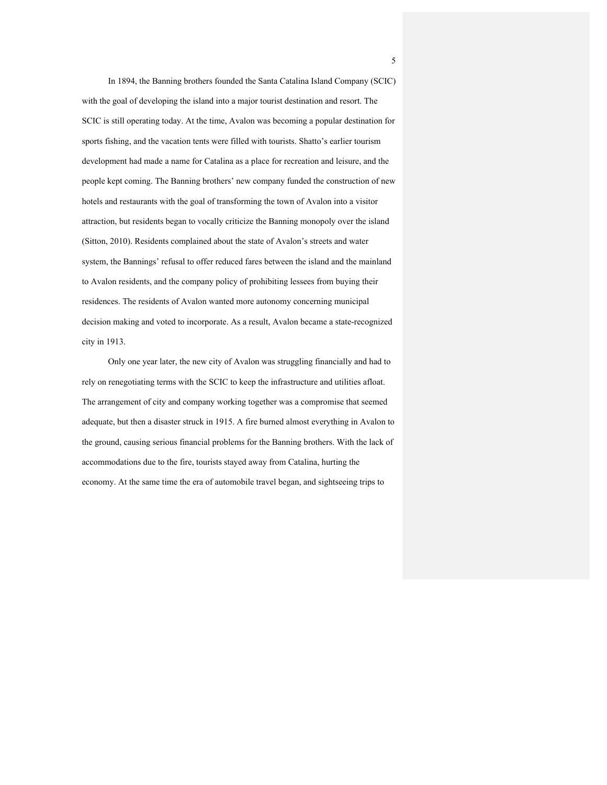In 1894, the Banning brothers founded the Santa Catalina Island Company (SCIC) with the goal of developing the island into a major tourist destination and resort. The SCIC is still operating today. At the time, Avalon was becoming a popular destination for sports fishing, and the vacation tents were filled with tourists. Shatto's earlier tourism development had made a name for Catalina as a place for recreation and leisure, and the people kept coming. The Banning brothers' new company funded the construction of new hotels and restaurants with the goal of transforming the town of Avalon into a visitor attraction, but residents began to vocally criticize the Banning monopoly over the island (Sitton, 2010). Residents complained about the state of Avalon's streets and water system, the Bannings' refusal to offer reduced fares between the island and the mainland to Avalon residents, and the company policy of prohibiting lessees from buying their residences. The residents of Avalon wanted more autonomy concerning municipal decision making and voted to incorporate. As a result, Avalon became a state-recognized city in 1913.

Only one year later, the new city of Avalon was struggling financially and had to rely on renegotiating terms with the SCIC to keep the infrastructure and utilities afloat. The arrangement of city and company working together was a compromise that seemed adequate, but then a disaster struck in 1915. A fire burned almost everything in Avalon to the ground, causing serious financial problems for the Banning brothers. With the lack of accommodations due to the fire, tourists stayed away from Catalina, hurting the economy. At the same time the era of automobile travel began, and sightseeing trips to

5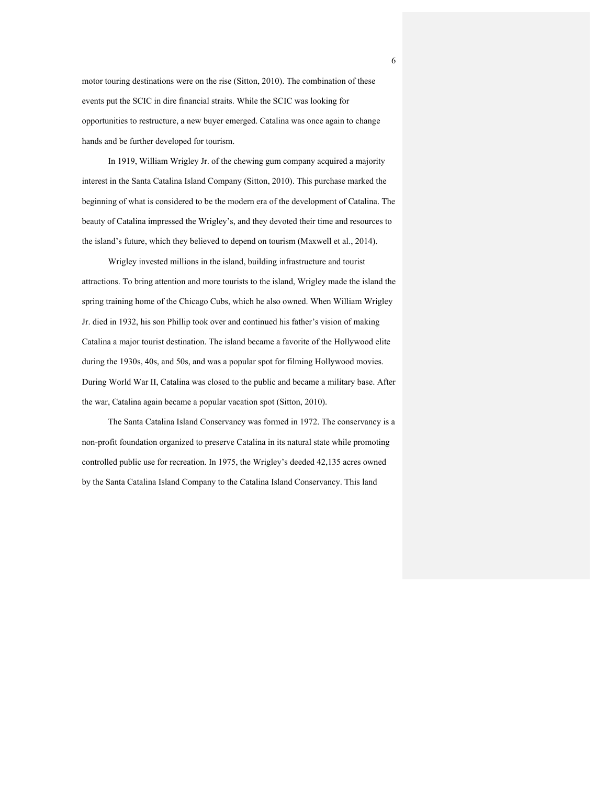motor touring destinations were on the rise (Sitton, 2010). The combination of these events put the SCIC in dire financial straits. While the SCIC was looking for opportunities to restructure, a new buyer emerged. Catalina was once again to change hands and be further developed for tourism.

In 1919, William Wrigley Jr. of the chewing gum company acquired a majority interest in the Santa Catalina Island Company (Sitton, 2010). This purchase marked the beginning of what is considered to be the modern era of the development of Catalina. The beauty of Catalina impressed the Wrigley's, and they devoted their time and resources to the island's future, which they believed to depend on tourism (Maxwell et al., 2014).

Wrigley invested millions in the island, building infrastructure and tourist attractions. To bring attention and more tourists to the island, Wrigley made the island the spring training home of the Chicago Cubs, which he also owned. When William Wrigley Jr. died in 1932, his son Phillip took over and continued his father's vision of making Catalina a major tourist destination. The island became a favorite of the Hollywood elite during the 1930s, 40s, and 50s, and was a popular spot for filming Hollywood movies. During World War II, Catalina was closed to the public and became a military base. After the war, Catalina again became a popular vacation spot (Sitton, 2010).

The Santa Catalina Island Conservancy was formed in 1972. The conservancy is a non-profit foundation organized to preserve Catalina in its natural state while promoting controlled public use for recreation. In 1975, the Wrigley's deeded 42,135 acres owned by the Santa Catalina Island Company to the Catalina Island Conservancy. This land

6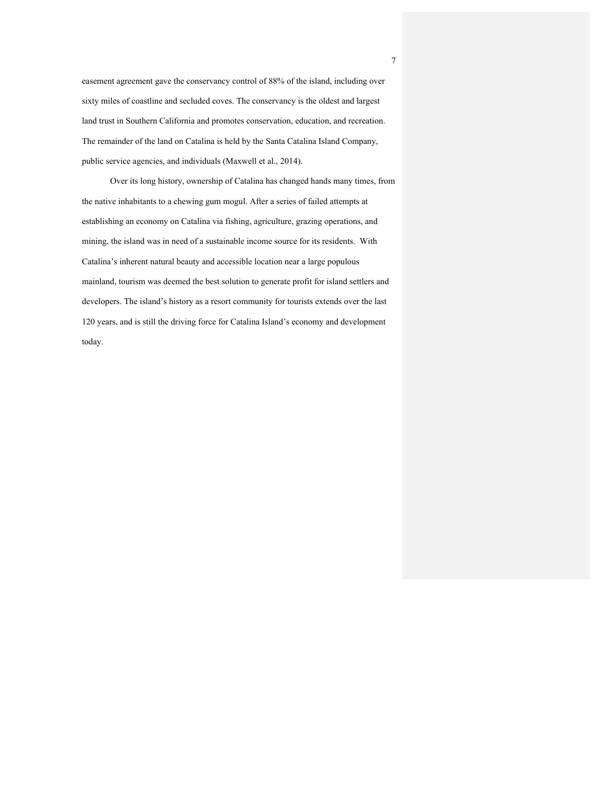easement agreement gave the conservancy control of 88% of the island, including over sixty miles of coastline and secluded coves. The conservancy is the oldest and largest land trust in Southern California and promotes conservation, education, and recreation. The remainder of the land on Catalina is held by the Santa Catalina Island Company, public service agencies, and individuals (Maxwell et al., 2014).

Over its long history, ownership of Catalina has changed hands many times, from the native inhabitants to a chewing gum mogul. After a series of failed attempts at establishing an economy on Catalina via fishing, agriculture, grazing operations, and mining, the island was in need of a sustainable income source for its residents. With Catalina's inherent natural beauty and accessible location near a large populous mainland, tourism was deemed the best solution to generate profit for island settlers and developers. The island's history as a resort community for tourists extends over the last 120 years, and is still the driving force for Catalina Island's economy and development today.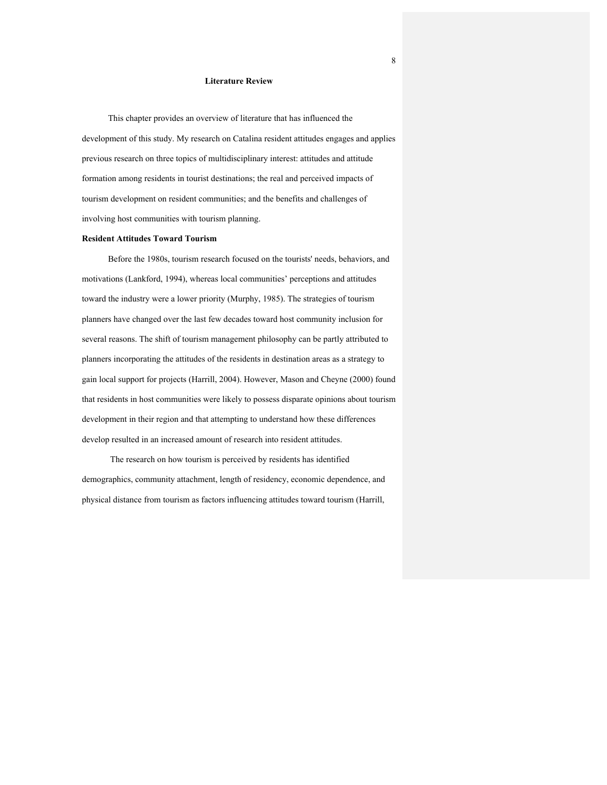## **Literature Review**

This chapter provides an overview of literature that has influenced the development of this study. My research on Catalina resident attitudes engages and applies previous research on three topics of multidisciplinary interest: attitudes and attitude formation among residents in tourist destinations; the real and perceived impacts of tourism development on resident communities; and the benefits and challenges of involving host communities with tourism planning.

### **Resident Attitudes Toward Tourism**

Before the 1980s, tourism research focused on the tourists' needs, behaviors, and motivations (Lankford, 1994), whereas local communities' perceptions and attitudes toward the industry were a lower priority (Murphy, 1985). The strategies of tourism planners have changed over the last few decades toward host community inclusion for several reasons. The shift of tourism management philosophy can be partly attributed to planners incorporating the attitudes of the residents in destination areas as a strategy to gain local support for projects (Harrill, 2004). However, Mason and Cheyne (2000) found that residents in host communities were likely to possess disparate opinions about tourism development in their region and that attempting to understand how these differences develop resulted in an increased amount of research into resident attitudes.

The research on how tourism is perceived by residents has identified demographics, community attachment, length of residency, economic dependence, and physical distance from tourism as factors influencing attitudes toward tourism (Harrill,

8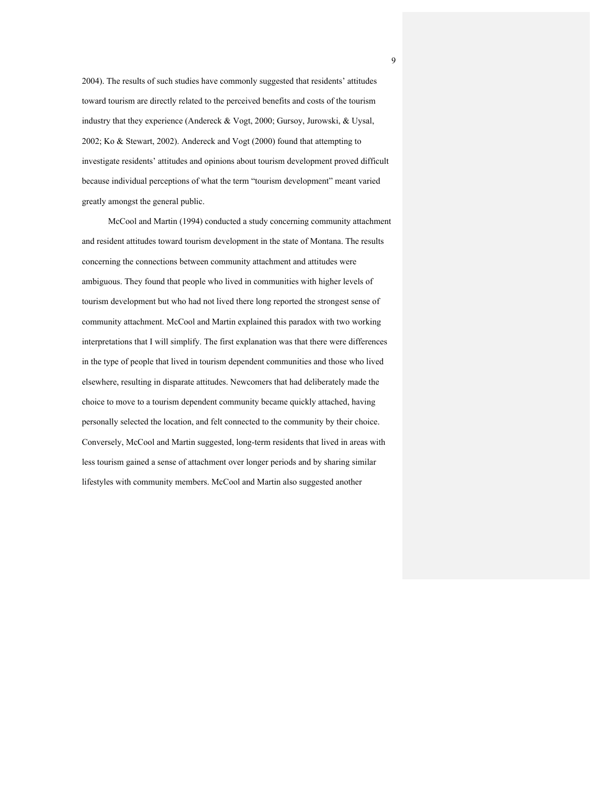2004). The results of such studies have commonly suggested that residents' attitudes toward tourism are directly related to the perceived benefits and costs of the tourism industry that they experience (Andereck & Vogt, 2000; Gursoy, Jurowski, & Uysal, 2002; Ko & Stewart, 2002). Andereck and Vogt (2000) found that attempting to investigate residents' attitudes and opinions about tourism development proved difficult because individual perceptions of what the term "tourism development" meant varied greatly amongst the general public.

McCool and Martin (1994) conducted a study concerning community attachment and resident attitudes toward tourism development in the state of Montana. The results concerning the connections between community attachment and attitudes were ambiguous. They found that people who lived in communities with higher levels of tourism development but who had not lived there long reported the strongest sense of community attachment. McCool and Martin explained this paradox with two working interpretations that I will simplify. The first explanation was that there were differences in the type of people that lived in tourism dependent communities and those who lived elsewhere, resulting in disparate attitudes. Newcomers that had deliberately made the choice to move to a tourism dependent community became quickly attached, having personally selected the location, and felt connected to the community by their choice. Conversely, McCool and Martin suggested, long-term residents that lived in areas with less tourism gained a sense of attachment over longer periods and by sharing similar lifestyles with community members. McCool and Martin also suggested another

9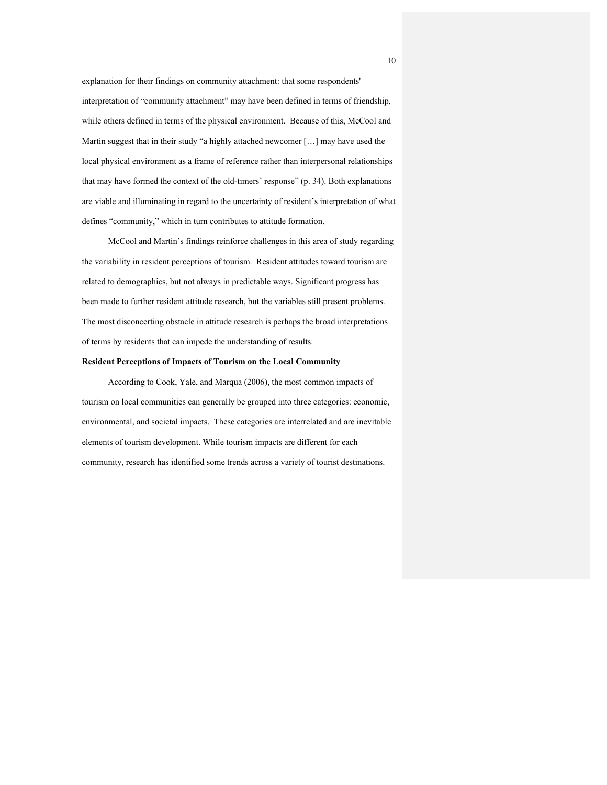explanation for their findings on community attachment: that some respondents' interpretation of "community attachment" may have been defined in terms of friendship, while others defined in terms of the physical environment. Because of this, McCool and Martin suggest that in their study "a highly attached newcomer […] may have used the local physical environment as a frame of reference rather than interpersonal relationships that may have formed the context of the old-timers' response" (p. 34). Both explanations are viable and illuminating in regard to the uncertainty of resident's interpretation of what defines "community," which in turn contributes to attitude formation.

McCool and Martin's findings reinforce challenges in this area of study regarding the variability in resident perceptions of tourism. Resident attitudes toward tourism are related to demographics, but not always in predictable ways. Significant progress has been made to further resident attitude research, but the variables still present problems. The most disconcerting obstacle in attitude research is perhaps the broad interpretations of terms by residents that can impede the understanding of results.

#### **Resident Perceptions of Impacts of Tourism on the Local Community**

According to Cook, Yale, and Marqua (2006), the most common impacts of tourism on local communities can generally be grouped into three categories: economic, environmental, and societal impacts. These categories are interrelated and are inevitable elements of tourism development. While tourism impacts are different for each community, research has identified some trends across a variety of tourist destinations.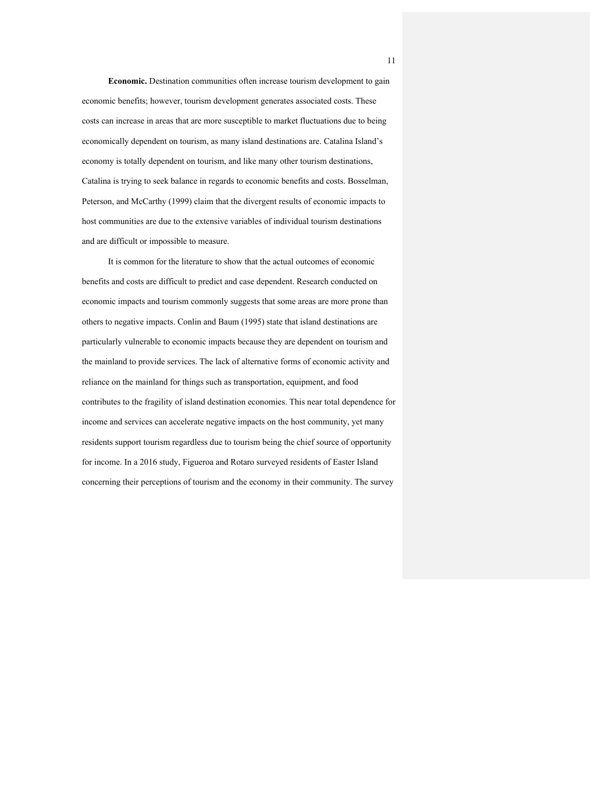**Economic.** Destination communities often increase tourism development to gain economic benefits; however, tourism development generates associated costs. These costs can increase in areas that are more susceptible to market fluctuations due to being economically dependent on tourism, as many island destinations are. Catalina Island's economy is totally dependent on tourism, and like many other tourism destinations, Catalina is trying to seek balance in regards to economic benefits and costs. Bosselman, Peterson, and McCarthy (1999) claim that the divergent results of economic impacts to host communities are due to the extensive variables of individual tourism destinations and are difficult or impossible to measure.

It is common for the literature to show that the actual outcomes of economic benefits and costs are difficult to predict and case dependent. Research conducted on economic impacts and tourism commonly suggests that some areas are more prone than others to negative impacts. Conlin and Baum (1995) state that island destinations are particularly vulnerable to economic impacts because they are dependent on tourism and the mainland to provide services. The lack of alternative forms of economic activity and reliance on the mainland for things such as transportation, equipment, and food contributes to the fragility of island destination economies. This near total dependence for income and services can accelerate negative impacts on the host community, yet many residents support tourism regardless due to tourism being the chief source of opportunity for income. In a 2016 study, Figueroa and Rotaro surveyed residents of Easter Island concerning their perceptions of tourism and the economy in their community. The survey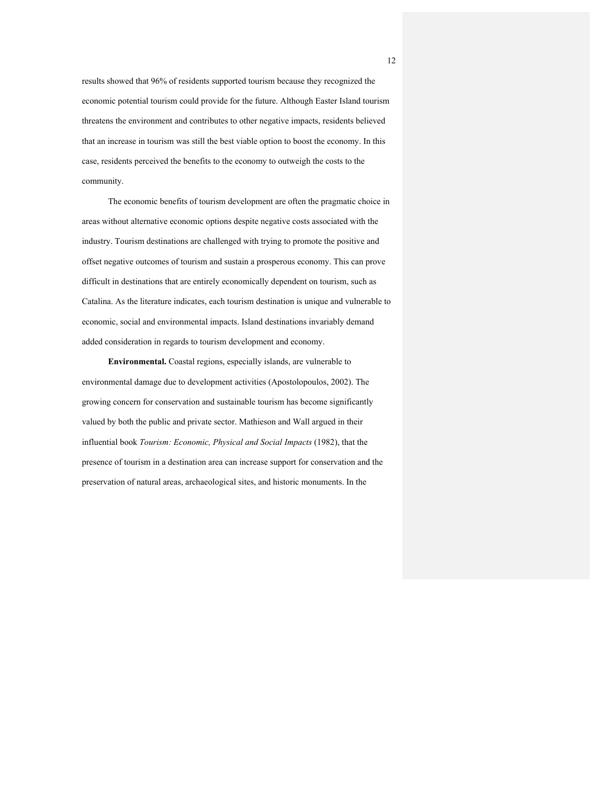results showed that 96% of residents supported tourism because they recognized the economic potential tourism could provide for the future. Although Easter Island tourism threatens the environment and contributes to other negative impacts, residents believed that an increase in tourism was still the best viable option to boost the economy. In this case, residents perceived the benefits to the economy to outweigh the costs to the community.

The economic benefits of tourism development are often the pragmatic choice in areas without alternative economic options despite negative costs associated with the industry. Tourism destinations are challenged with trying to promote the positive and offset negative outcomes of tourism and sustain a prosperous economy. This can prove difficult in destinations that are entirely economically dependent on tourism, such as Catalina. As the literature indicates, each tourism destination is unique and vulnerable to economic, social and environmental impacts. Island destinations invariably demand added consideration in regards to tourism development and economy.

**Environmental.** Coastal regions, especially islands, are vulnerable to environmental damage due to development activities (Apostolopoulos, 2002). The growing concern for conservation and sustainable tourism has become significantly valued by both the public and private sector. Mathieson and Wall argued in their influential book *Tourism: Economic, Physical and Social Impacts* (1982), that the presence of tourism in a destination area can increase support for conservation and the preservation of natural areas, archaeological sites, and historic monuments. In the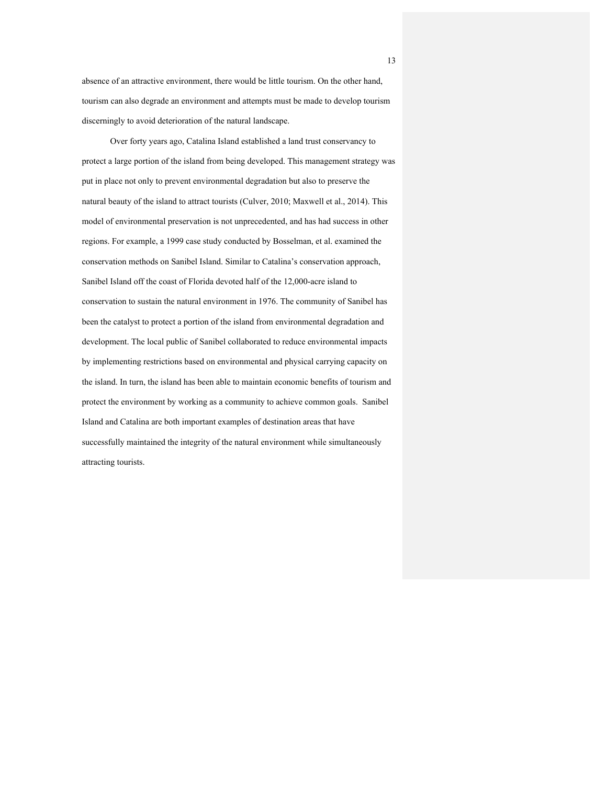absence of an attractive environment, there would be little tourism. On the other hand, tourism can also degrade an environment and attempts must be made to develop tourism discerningly to avoid deterioration of the natural landscape.

Over forty years ago, Catalina Island established a land trust conservancy to protect a large portion of the island from being developed. This management strategy was put in place not only to prevent environmental degradation but also to preserve the natural beauty of the island to attract tourists (Culver, 2010; Maxwell et al., 2014). This model of environmental preservation is not unprecedented, and has had success in other regions. For example, a 1999 case study conducted by Bosselman, et al. examined the conservation methods on Sanibel Island. Similar to Catalina's conservation approach, Sanibel Island off the coast of Florida devoted half of the 12,000-acre island to conservation to sustain the natural environment in 1976. The community of Sanibel has been the catalyst to protect a portion of the island from environmental degradation and development. The local public of Sanibel collaborated to reduce environmental impacts by implementing restrictions based on environmental and physical carrying capacity on the island. In turn, the island has been able to maintain economic benefits of tourism and protect the environment by working as a community to achieve common goals. Sanibel Island and Catalina are both important examples of destination areas that have successfully maintained the integrity of the natural environment while simultaneously attracting tourists.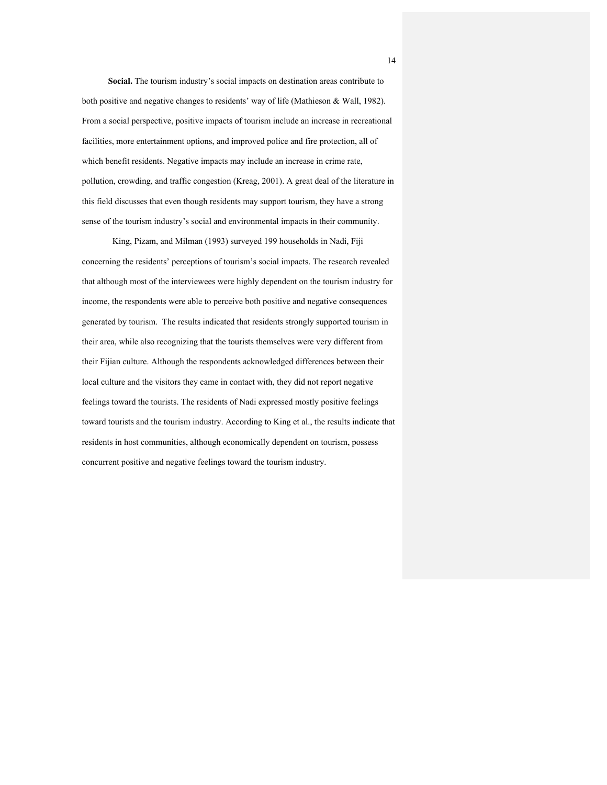**Social.** The tourism industry's social impacts on destination areas contribute to both positive and negative changes to residents' way of life (Mathieson & Wall, 1982). From a social perspective, positive impacts of tourism include an increase in recreational facilities, more entertainment options, and improved police and fire protection, all of which benefit residents. Negative impacts may include an increase in crime rate, pollution, crowding, and traffic congestion (Kreag, 2001). A great deal of the literature in this field discusses that even though residents may support tourism, they have a strong sense of the tourism industry's social and environmental impacts in their community.

 King, Pizam, and Milman (1993) surveyed 199 households in Nadi, Fiji concerning the residents' perceptions of tourism's social impacts. The research revealed that although most of the interviewees were highly dependent on the tourism industry for income, the respondents were able to perceive both positive and negative consequences generated by tourism. The results indicated that residents strongly supported tourism in their area, while also recognizing that the tourists themselves were very different from their Fijian culture. Although the respondents acknowledged differences between their local culture and the visitors they came in contact with, they did not report negative feelings toward the tourists. The residents of Nadi expressed mostly positive feelings toward tourists and the tourism industry. According to King et al., the results indicate that residents in host communities, although economically dependent on tourism, possess concurrent positive and negative feelings toward the tourism industry.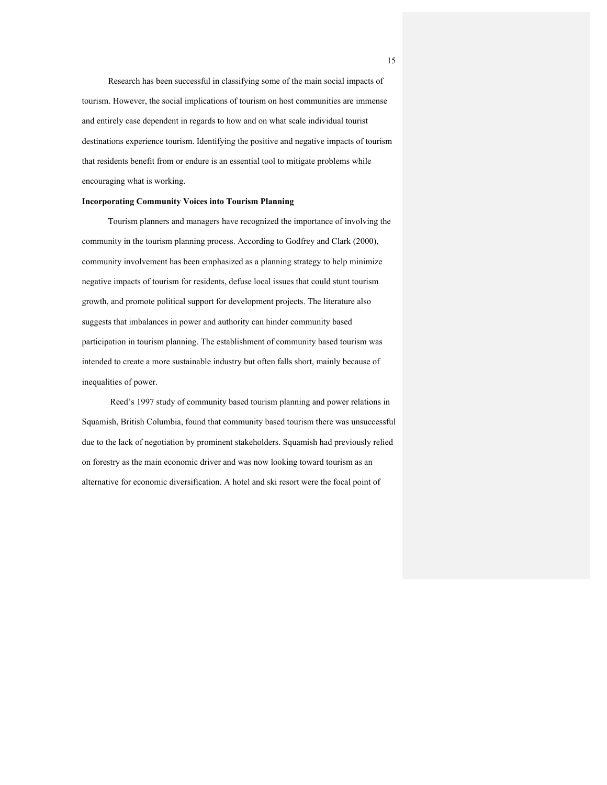Research has been successful in classifying some of the main social impacts of tourism. However, the social implications of tourism on host communities are immense and entirely case dependent in regards to how and on what scale individual tourist destinations experience tourism. Identifying the positive and negative impacts of tourism that residents benefit from or endure is an essential tool to mitigate problems while encouraging what is working.

## **Incorporating Community Voices into Tourism Planning**

Tourism planners and managers have recognized the importance of involving the community in the tourism planning process. According to Godfrey and Clark (2000), community involvement has been emphasized as a planning strategy to help minimize negative impacts of tourism for residents, defuse local issues that could stunt tourism growth, and promote political support for development projects. The literature also suggests that imbalances in power and authority can hinder community based participation in tourism planning. The establishment of community based tourism was intended to create a more sustainable industry but often falls short, mainly because of inequalities of power.

Reed's 1997 study of community based tourism planning and power relations in Squamish, British Columbia, found that community based tourism there was unsuccessful due to the lack of negotiation by prominent stakeholders. Squamish had previously relied on forestry as the main economic driver and was now looking toward tourism as an alternative for economic diversification. A hotel and ski resort were the focal point of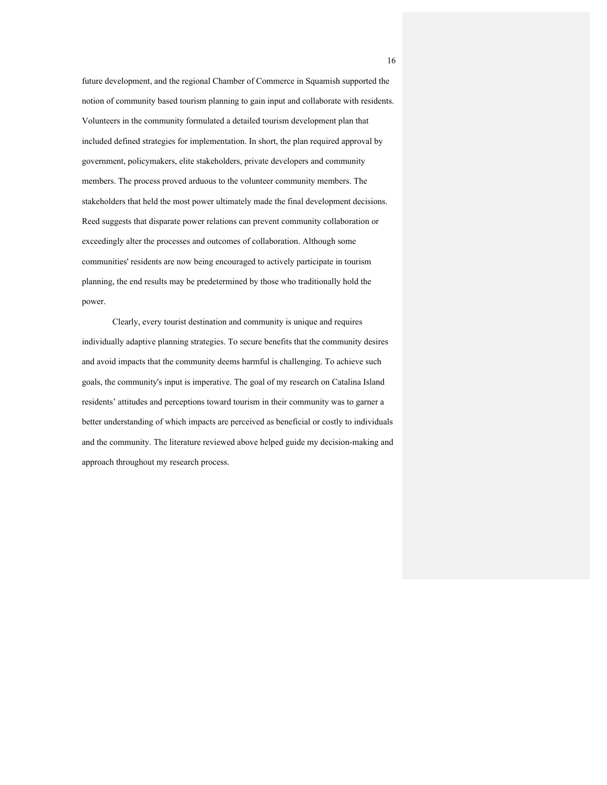future development, and the regional Chamber of Commerce in Squamish supported the notion of community based tourism planning to gain input and collaborate with residents. Volunteers in the community formulated a detailed tourism development plan that included defined strategies for implementation. In short, the plan required approval by government, policymakers, elite stakeholders, private developers and community members. The process proved arduous to the volunteer community members. The stakeholders that held the most power ultimately made the final development decisions. Reed suggests that disparate power relations can prevent community collaboration or exceedingly alter the processes and outcomes of collaboration. Although some communities' residents are now being encouraged to actively participate in tourism planning, the end results may be predetermined by those who traditionally hold the power.

Clearly, every tourist destination and community is unique and requires individually adaptive planning strategies. To secure benefits that the community desires and avoid impacts that the community deems harmful is challenging. To achieve such goals, the community's input is imperative. The goal of my research on Catalina Island residents' attitudes and perceptions toward tourism in their community was to garner a better understanding of which impacts are perceived as beneficial or costly to individuals and the community. The literature reviewed above helped guide my decision-making and approach throughout my research process.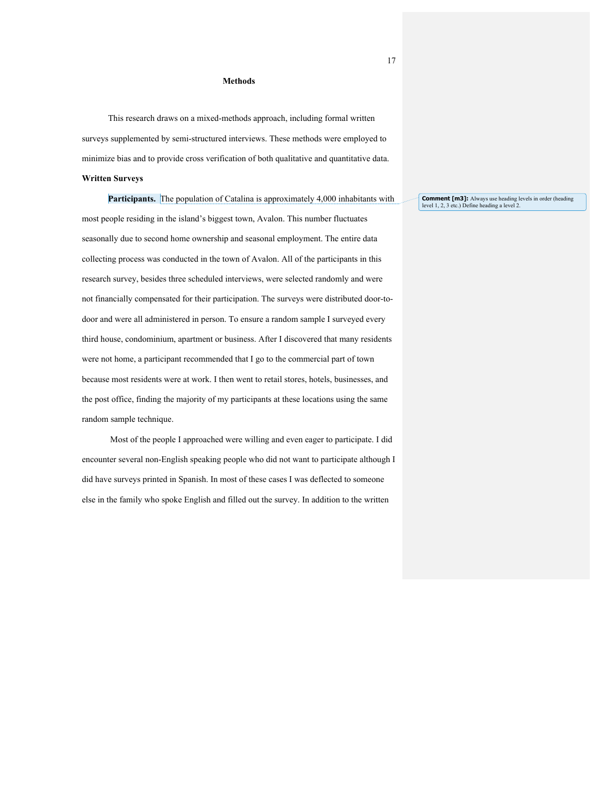### **Methods**

This research draws on a mixed-methods approach, including formal written surveys supplemented by semi-structured interviews. These methods were employed to minimize bias and to provide cross verification of both qualitative and quantitative data. **Written Surveys**

**Participants.** The population of Catalina is approximately 4,000 inhabitants with most people residing in the island's biggest town, Avalon. This number fluctuates seasonally due to second home ownership and seasonal employment. The entire data collecting process was conducted in the town of Avalon. All of the participants in this research survey, besides three scheduled interviews, were selected randomly and were not financially compensated for their participation. The surveys were distributed door-todoor and were all administered in person. To ensure a random sample I surveyed every third house, condominium, apartment or business. After I discovered that many residents were not home, a participant recommended that I go to the commercial part of town because most residents were at work. I then went to retail stores, hotels, businesses, and the post office, finding the majority of my participants at these locations using the same random sample technique.

Most of the people I approached were willing and even eager to participate. I did encounter several non-English speaking people who did not want to participate although I did have surveys printed in Spanish. In most of these cases I was deflected to someone else in the family who spoke English and filled out the survey. In addition to the written

**Comment [m3]:** Always use heading levels in order (heading level 1, 2, 3 etc.) Define heading a level 2.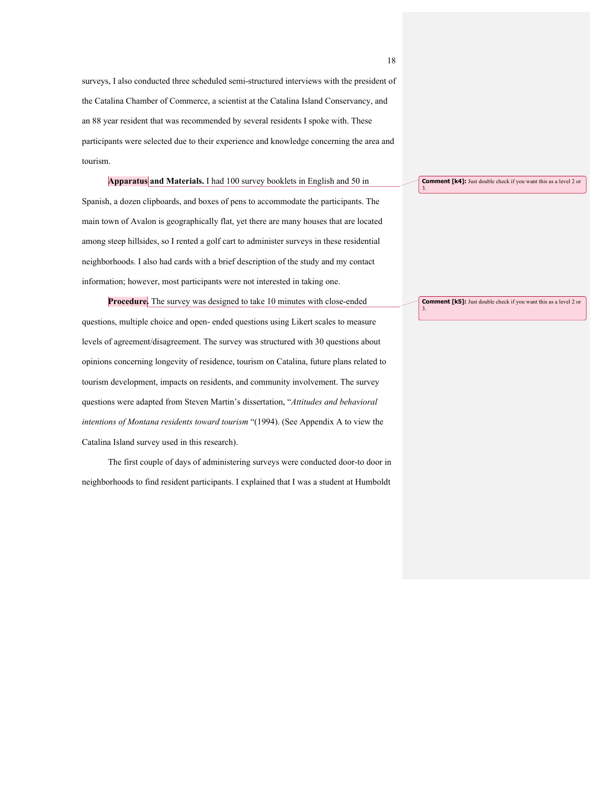surveys, I also conducted three scheduled semi-structured interviews with the president of the Catalina Chamber of Commerce, a scientist at the Catalina Island Conservancy, and an 88 year resident that was recommended by several residents I spoke with. These participants were selected due to their experience and knowledge concerning the area and tourism.

**Apparatus and Materials.** I had 100 survey booklets in English and 50 in Spanish, a dozen clipboards, and boxes of pens to accommodate the participants. The main town of Avalon is geographically flat, yet there are many houses that are located among steep hillsides, so I rented a golf cart to administer surveys in these residential neighborhoods. I also had cards with a brief description of the study and my contact information; however, most participants were not interested in taking one.

**Procedure.** The survey was designed to take 10 minutes with close-ended questions, multiple choice and open- ended questions using Likert scales to measure levels of agreement/disagreement. The survey was structured with 30 questions about opinions concerning longevity of residence, tourism on Catalina, future plans related to tourism development, impacts on residents, and community involvement. The survey questions were adapted from Steven Martin's dissertation, "*Attitudes and behavioral intentions of Montana residents toward tourism* "(1994). (See Appendix A to view the Catalina Island survey used in this research).

The first couple of days of administering surveys were conducted door-to door in neighborhoods to find resident participants. I explained that I was a student at Humboldt **Comment [k5]:** Just double check if you want this as a level 2 or

**Comment [k4]:** Just double check if you want this as a level 2 or

18

3.

3.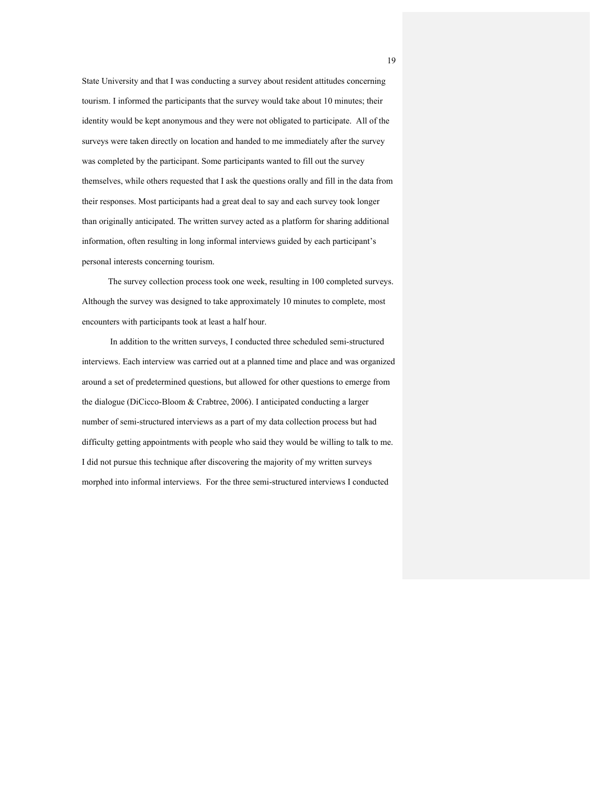State University and that I was conducting a survey about resident attitudes concerning tourism. I informed the participants that the survey would take about 10 minutes; their identity would be kept anonymous and they were not obligated to participate. All of the surveys were taken directly on location and handed to me immediately after the survey was completed by the participant. Some participants wanted to fill out the survey themselves, while others requested that I ask the questions orally and fill in the data from their responses. Most participants had a great deal to say and each survey took longer than originally anticipated. The written survey acted as a platform for sharing additional information, often resulting in long informal interviews guided by each participant's personal interests concerning tourism.

The survey collection process took one week, resulting in 100 completed surveys. Although the survey was designed to take approximately 10 minutes to complete, most encounters with participants took at least a half hour.

In addition to the written surveys, I conducted three scheduled semi-structured interviews. Each interview was carried out at a planned time and place and was organized around a set of predetermined questions, but allowed for other questions to emerge from the dialogue (DiCicco-Bloom & Crabtree, 2006). I anticipated conducting a larger number of semi-structured interviews as a part of my data collection process but had difficulty getting appointments with people who said they would be willing to talk to me. I did not pursue this technique after discovering the majority of my written surveys morphed into informal interviews. For the three semi-structured interviews I conducted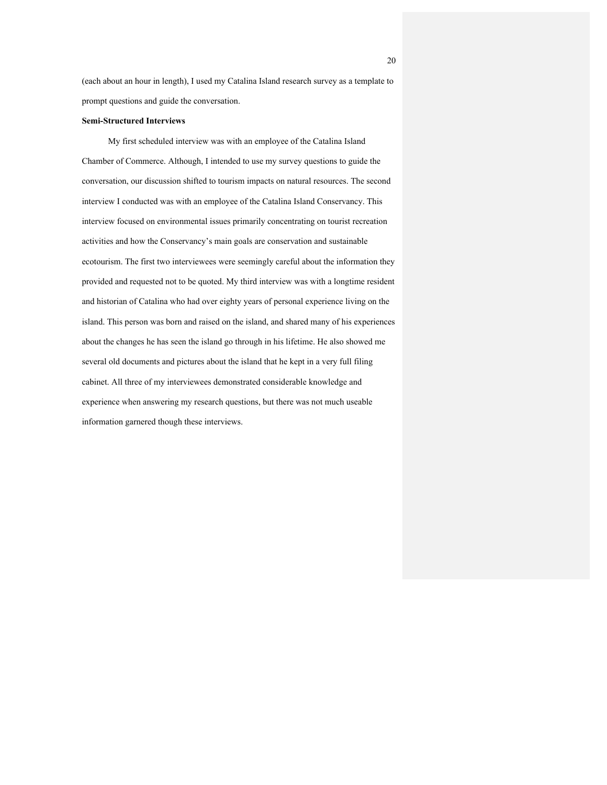(each about an hour in length), I used my Catalina Island research survey as a template to prompt questions and guide the conversation.

## **Semi-Structured Interviews**

My first scheduled interview was with an employee of the Catalina Island Chamber of Commerce. Although, I intended to use my survey questions to guide the conversation, our discussion shifted to tourism impacts on natural resources. The second interview I conducted was with an employee of the Catalina Island Conservancy. This interview focused on environmental issues primarily concentrating on tourist recreation activities and how the Conservancy's main goals are conservation and sustainable ecotourism. The first two interviewees were seemingly careful about the information they provided and requested not to be quoted. My third interview was with a longtime resident and historian of Catalina who had over eighty years of personal experience living on the island. This person was born and raised on the island, and shared many of his experiences about the changes he has seen the island go through in his lifetime. He also showed me several old documents and pictures about the island that he kept in a very full filing cabinet. All three of my interviewees demonstrated considerable knowledge and experience when answering my research questions, but there was not much useable information garnered though these interviews.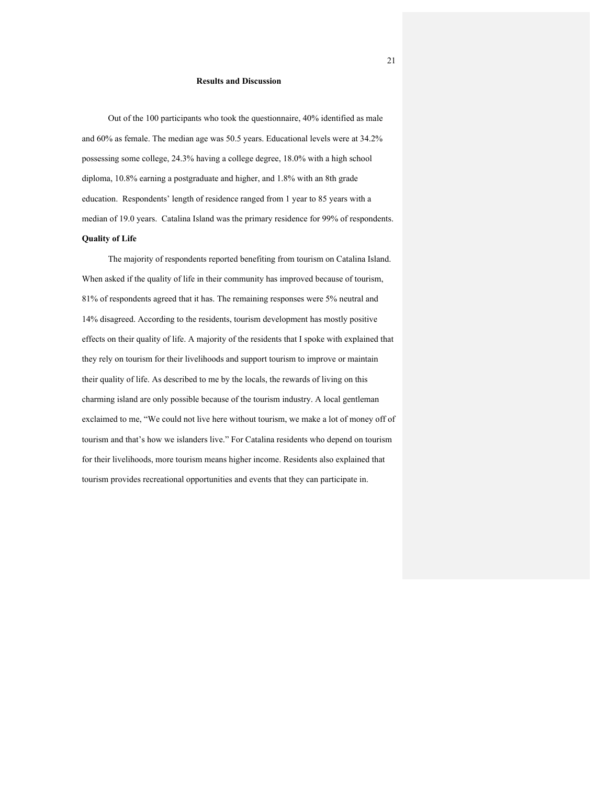## **Results and Discussion**

Out of the 100 participants who took the questionnaire, 40% identified as male and 60% as female. The median age was 50.5 years. Educational levels were at 34.2% possessing some college, 24.3% having a college degree, 18.0% with a high school diploma, 10.8% earning a postgraduate and higher, and 1.8% with an 8th grade education. Respondents' length of residence ranged from 1 year to 85 years with a median of 19.0 years. Catalina Island was the primary residence for 99% of respondents. **Quality of Life**

The majority of respondents reported benefiting from tourism on Catalina Island. When asked if the quality of life in their community has improved because of tourism, 81% of respondents agreed that it has. The remaining responses were 5% neutral and 14% disagreed. According to the residents, tourism development has mostly positive effects on their quality of life. A majority of the residents that I spoke with explained that they rely on tourism for their livelihoods and support tourism to improve or maintain their quality of life. As described to me by the locals, the rewards of living on this charming island are only possible because of the tourism industry. A local gentleman exclaimed to me, "We could not live here without tourism, we make a lot of money off of tourism and that's how we islanders live." For Catalina residents who depend on tourism for their livelihoods, more tourism means higher income. Residents also explained that tourism provides recreational opportunities and events that they can participate in.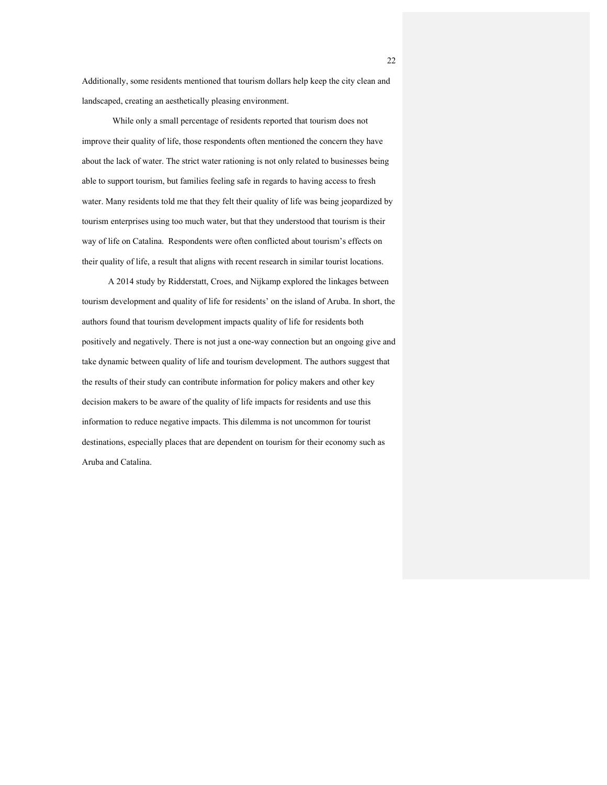Additionally, some residents mentioned that tourism dollars help keep the city clean and landscaped, creating an aesthetically pleasing environment.

While only a small percentage of residents reported that tourism does not improve their quality of life, those respondents often mentioned the concern they have about the lack of water. The strict water rationing is not only related to businesses being able to support tourism, but families feeling safe in regards to having access to fresh water. Many residents told me that they felt their quality of life was being jeopardized by tourism enterprises using too much water, but that they understood that tourism is their way of life on Catalina. Respondents were often conflicted about tourism's effects on their quality of life, a result that aligns with recent research in similar tourist locations.

A 2014 study by Ridderstatt, Croes, and Nijkamp explored the linkages between tourism development and quality of life for residents' on the island of Aruba. In short, the authors found that tourism development impacts quality of life for residents both positively and negatively. There is not just a one-way connection but an ongoing give and take dynamic between quality of life and tourism development. The authors suggest that the results of their study can contribute information for policy makers and other key decision makers to be aware of the quality of life impacts for residents and use this information to reduce negative impacts. This dilemma is not uncommon for tourist destinations, especially places that are dependent on tourism for their economy such as Aruba and Catalina.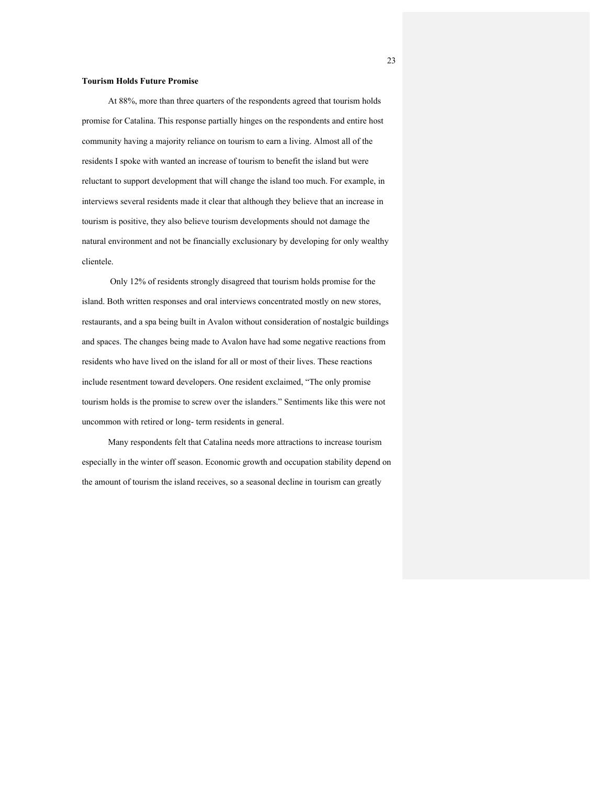## **Tourism Holds Future Promise**

At 88%, more than three quarters of the respondents agreed that tourism holds promise for Catalina. This response partially hinges on the respondents and entire host community having a majority reliance on tourism to earn a living. Almost all of the residents I spoke with wanted an increase of tourism to benefit the island but were reluctant to support development that will change the island too much. For example, in interviews several residents made it clear that although they believe that an increase in tourism is positive, they also believe tourism developments should not damage the natural environment and not be financially exclusionary by developing for only wealthy clientele.

Only 12% of residents strongly disagreed that tourism holds promise for the island. Both written responses and oral interviews concentrated mostly on new stores, restaurants, and a spa being built in Avalon without consideration of nostalgic buildings and spaces. The changes being made to Avalon have had some negative reactions from residents who have lived on the island for all or most of their lives. These reactions include resentment toward developers. One resident exclaimed, "The only promise tourism holds is the promise to screw over the islanders." Sentiments like this were not uncommon with retired or long- term residents in general.

Many respondents felt that Catalina needs more attractions to increase tourism especially in the winter off season. Economic growth and occupation stability depend on the amount of tourism the island receives, so a seasonal decline in tourism can greatly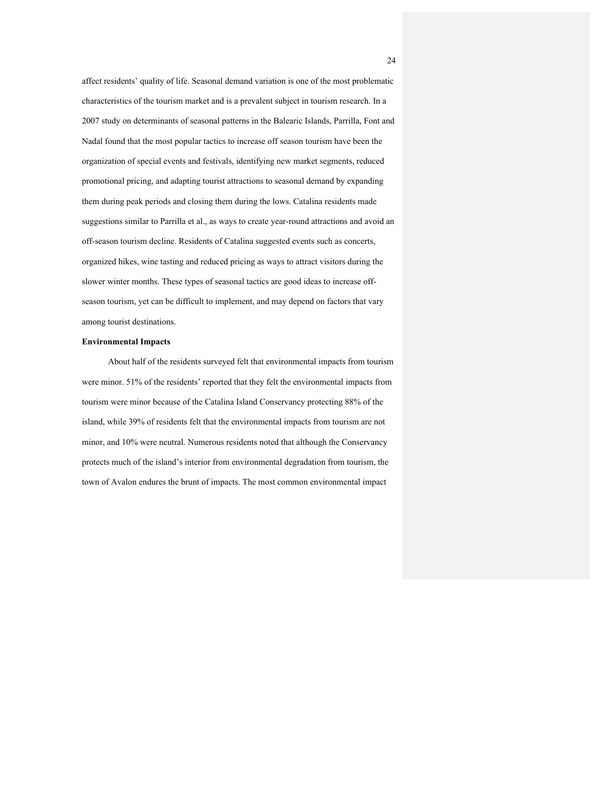affect residents' quality of life. Seasonal demand variation is one of the most problematic characteristics of the tourism market and is a prevalent subject in tourism research. In a 2007 study on determinants of seasonal patterns in the Balearic Islands, Parrilla, Font and Nadal found that the most popular tactics to increase off season tourism have been the organization of special events and festivals, identifying new market segments, reduced promotional pricing, and adapting tourist attractions to seasonal demand by expanding them during peak periods and closing them during the lows. Catalina residents made suggestions similar to Parrilla et al., as ways to create year-round attractions and avoid an off-season tourism decline. Residents of Catalina suggested events such as concerts, organized hikes, wine tasting and reduced pricing as ways to attract visitors during the slower winter months. These types of seasonal tactics are good ideas to increase offseason tourism, yet can be difficult to implement, and may depend on factors that vary among tourist destinations.

## **Environmental Impacts**

About half of the residents surveyed felt that environmental impacts from tourism were minor. 51% of the residents' reported that they felt the environmental impacts from tourism were minor because of the Catalina Island Conservancy protecting 88% of the island, while 39% of residents felt that the environmental impacts from tourism are not minor, and 10% were neutral. Numerous residents noted that although the Conservancy protects much of the island's interior from environmental degradation from tourism, the town of Avalon endures the brunt of impacts. The most common environmental impact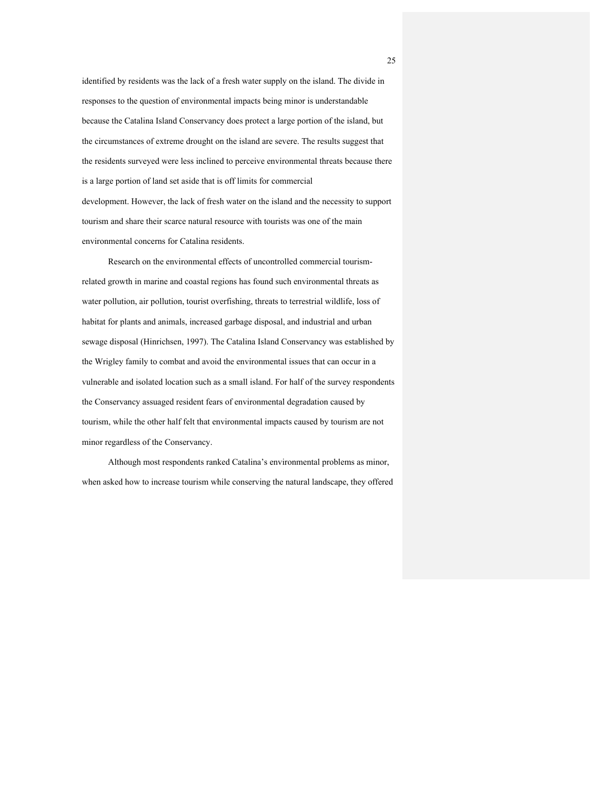identified by residents was the lack of a fresh water supply on the island. The divide in responses to the question of environmental impacts being minor is understandable because the Catalina Island Conservancy does protect a large portion of the island, but the circumstances of extreme drought on the island are severe. The results suggest that the residents surveyed were less inclined to perceive environmental threats because there is a large portion of land set aside that is off limits for commercial development. However, the lack of fresh water on the island and the necessity to support tourism and share their scarce natural resource with tourists was one of the main environmental concerns for Catalina residents.

Research on the environmental effects of uncontrolled commercial tourismrelated growth in marine and coastal regions has found such environmental threats as water pollution, air pollution, tourist overfishing, threats to terrestrial wildlife, loss of habitat for plants and animals, increased garbage disposal, and industrial and urban sewage disposal (Hinrichsen, 1997). The Catalina Island Conservancy was established by the Wrigley family to combat and avoid the environmental issues that can occur in a vulnerable and isolated location such as a small island. For half of the survey respondents the Conservancy assuaged resident fears of environmental degradation caused by tourism, while the other half felt that environmental impacts caused by tourism are not minor regardless of the Conservancy.

Although most respondents ranked Catalina's environmental problems as minor, when asked how to increase tourism while conserving the natural landscape, they offered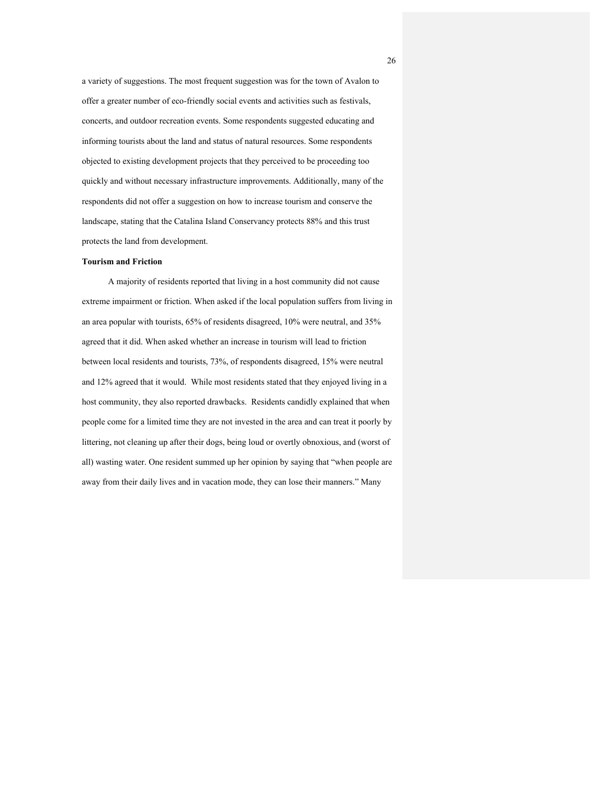a variety of suggestions. The most frequent suggestion was for the town of Avalon to offer a greater number of eco-friendly social events and activities such as festivals, concerts, and outdoor recreation events. Some respondents suggested educating and informing tourists about the land and status of natural resources. Some respondents objected to existing development projects that they perceived to be proceeding too quickly and without necessary infrastructure improvements. Additionally, many of the respondents did not offer a suggestion on how to increase tourism and conserve the landscape, stating that the Catalina Island Conservancy protects 88% and this trust protects the land from development.

## **Tourism and Friction**

A majority of residents reported that living in a host community did not cause extreme impairment or friction. When asked if the local population suffers from living in an area popular with tourists, 65% of residents disagreed, 10% were neutral, and 35% agreed that it did. When asked whether an increase in tourism will lead to friction between local residents and tourists, 73%, of respondents disagreed, 15% were neutral and 12% agreed that it would. While most residents stated that they enjoyed living in a host community, they also reported drawbacks. Residents candidly explained that when people come for a limited time they are not invested in the area and can treat it poorly by littering, not cleaning up after their dogs, being loud or overtly obnoxious, and (worst of all) wasting water. One resident summed up her opinion by saying that "when people are away from their daily lives and in vacation mode, they can lose their manners." Many

26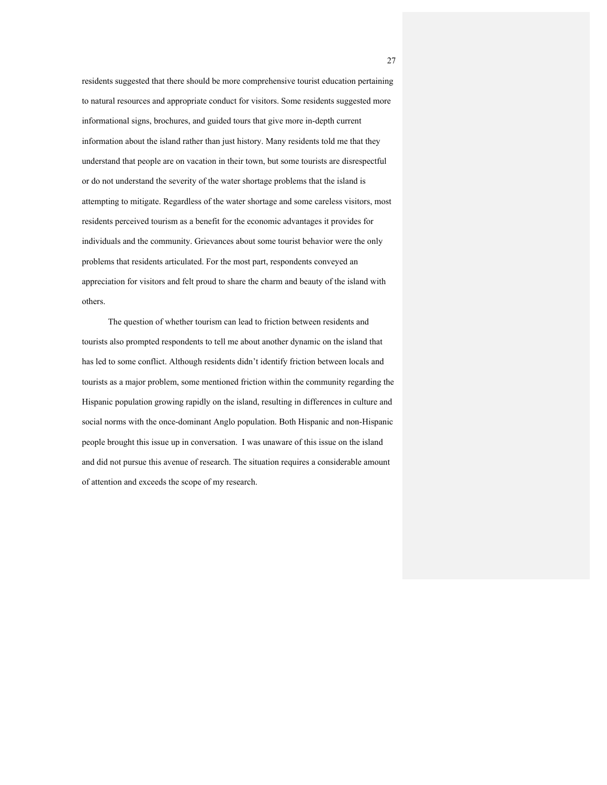residents suggested that there should be more comprehensive tourist education pertaining to natural resources and appropriate conduct for visitors. Some residents suggested more informational signs, brochures, and guided tours that give more in-depth current information about the island rather than just history. Many residents told me that they understand that people are on vacation in their town, but some tourists are disrespectful or do not understand the severity of the water shortage problems that the island is attempting to mitigate. Regardless of the water shortage and some careless visitors, most residents perceived tourism as a benefit for the economic advantages it provides for individuals and the community. Grievances about some tourist behavior were the only problems that residents articulated. For the most part, respondents conveyed an appreciation for visitors and felt proud to share the charm and beauty of the island with others.

The question of whether tourism can lead to friction between residents and tourists also prompted respondents to tell me about another dynamic on the island that has led to some conflict. Although residents didn't identify friction between locals and tourists as a major problem, some mentioned friction within the community regarding the Hispanic population growing rapidly on the island, resulting in differences in culture and social norms with the once-dominant Anglo population. Both Hispanic and non-Hispanic people brought this issue up in conversation. I was unaware of this issue on the island and did not pursue this avenue of research. The situation requires a considerable amount of attention and exceeds the scope of my research.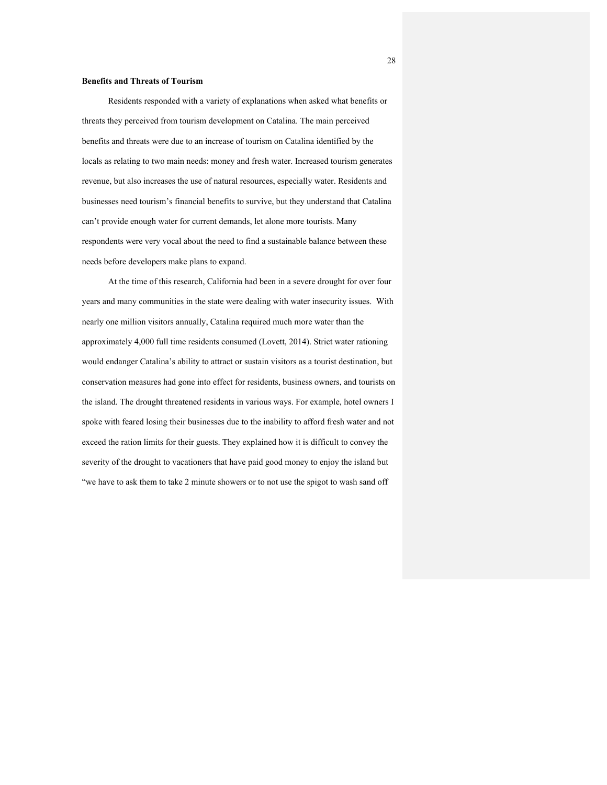## **Benefits and Threats of Tourism**

Residents responded with a variety of explanations when asked what benefits or threats they perceived from tourism development on Catalina. The main perceived benefits and threats were due to an increase of tourism on Catalina identified by the locals as relating to two main needs: money and fresh water. Increased tourism generates revenue, but also increases the use of natural resources, especially water. Residents and businesses need tourism's financial benefits to survive, but they understand that Catalina can't provide enough water for current demands, let alone more tourists. Many respondents were very vocal about the need to find a sustainable balance between these needs before developers make plans to expand.

At the time of this research, California had been in a severe drought for over four years and many communities in the state were dealing with water insecurity issues. With nearly one million visitors annually, Catalina required much more water than the approximately 4,000 full time residents consumed (Lovett, 2014). Strict water rationing would endanger Catalina's ability to attract or sustain visitors as a tourist destination, but conservation measures had gone into effect for residents, business owners, and tourists on the island. The drought threatened residents in various ways. For example, hotel owners I spoke with feared losing their businesses due to the inability to afford fresh water and not exceed the ration limits for their guests. They explained how it is difficult to convey the severity of the drought to vacationers that have paid good money to enjoy the island but "we have to ask them to take 2 minute showers or to not use the spigot to wash sand off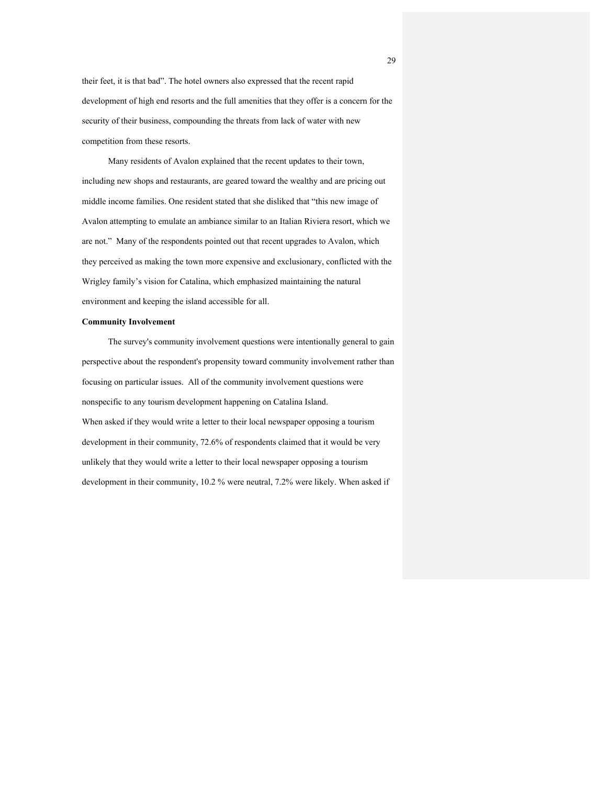their feet, it is that bad". The hotel owners also expressed that the recent rapid development of high end resorts and the full amenities that they offer is a concern for the security of their business, compounding the threats from lack of water with new competition from these resorts.

Many residents of Avalon explained that the recent updates to their town, including new shops and restaurants, are geared toward the wealthy and are pricing out middle income families. One resident stated that she disliked that "this new image of Avalon attempting to emulate an ambiance similar to an Italian Riviera resort, which we are not." Many of the respondents pointed out that recent upgrades to Avalon, which they perceived as making the town more expensive and exclusionary, conflicted with the Wrigley family's vision for Catalina, which emphasized maintaining the natural environment and keeping the island accessible for all.

## **Community Involvement**

The survey's community involvement questions were intentionally general to gain perspective about the respondent's propensity toward community involvement rather than focusing on particular issues. All of the community involvement questions were nonspecific to any tourism development happening on Catalina Island. When asked if they would write a letter to their local newspaper opposing a tourism development in their community, 72.6% of respondents claimed that it would be very unlikely that they would write a letter to their local newspaper opposing a tourism development in their community, 10.2 % were neutral, 7.2% were likely. When asked if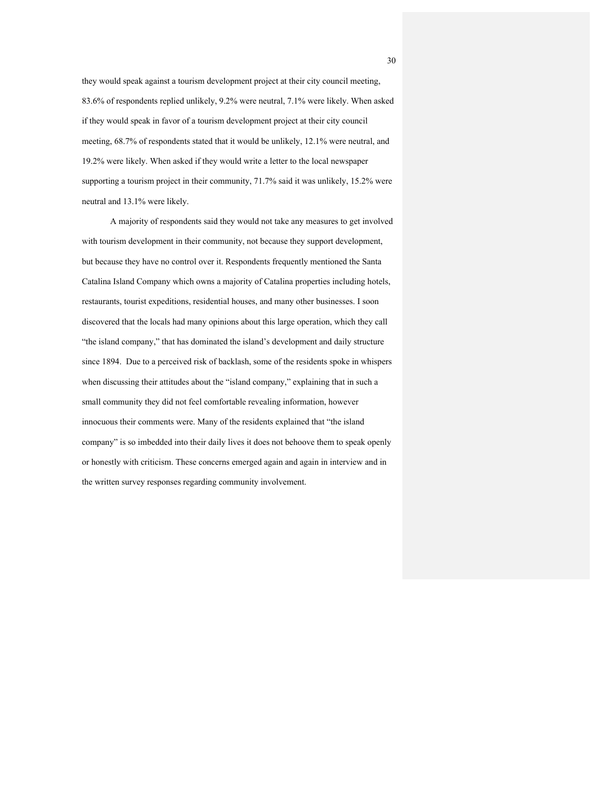they would speak against a tourism development project at their city council meeting, 83.6% of respondents replied unlikely, 9.2% were neutral, 7.1% were likely. When asked if they would speak in favor of a tourism development project at their city council meeting, 68.7% of respondents stated that it would be unlikely, 12.1% were neutral, and 19.2% were likely. When asked if they would write a letter to the local newspaper supporting a tourism project in their community, 71.7% said it was unlikely, 15.2% were neutral and 13.1% were likely.

A majority of respondents said they would not take any measures to get involved with tourism development in their community, not because they support development, but because they have no control over it. Respondents frequently mentioned the Santa Catalina Island Company which owns a majority of Catalina properties including hotels, restaurants, tourist expeditions, residential houses, and many other businesses. I soon discovered that the locals had many opinions about this large operation, which they call "the island company," that has dominated the island's development and daily structure since 1894. Due to a perceived risk of backlash, some of the residents spoke in whispers when discussing their attitudes about the "island company," explaining that in such a small community they did not feel comfortable revealing information, however innocuous their comments were. Many of the residents explained that "the island company" is so imbedded into their daily lives it does not behoove them to speak openly or honestly with criticism. These concerns emerged again and again in interview and in the written survey responses regarding community involvement.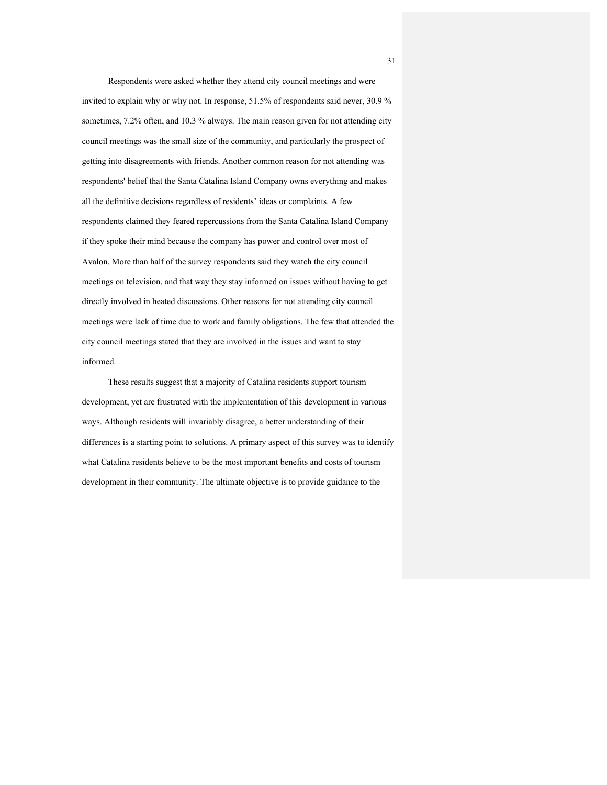Respondents were asked whether they attend city council meetings and were invited to explain why or why not. In response, 51.5% of respondents said never, 30.9 % sometimes, 7.2% often, and 10.3 % always. The main reason given for not attending city council meetings was the small size of the community, and particularly the prospect of getting into disagreements with friends. Another common reason for not attending was respondents' belief that the Santa Catalina Island Company owns everything and makes all the definitive decisions regardless of residents' ideas or complaints. A few respondents claimed they feared repercussions from the Santa Catalina Island Company if they spoke their mind because the company has power and control over most of Avalon. More than half of the survey respondents said they watch the city council meetings on television, and that way they stay informed on issues without having to get directly involved in heated discussions. Other reasons for not attending city council meetings were lack of time due to work and family obligations. The few that attended the city council meetings stated that they are involved in the issues and want to stay informed.

These results suggest that a majority of Catalina residents support tourism development, yet are frustrated with the implementation of this development in various ways. Although residents will invariably disagree, a better understanding of their differences is a starting point to solutions. A primary aspect of this survey was to identify what Catalina residents believe to be the most important benefits and costs of tourism development in their community. The ultimate objective is to provide guidance to the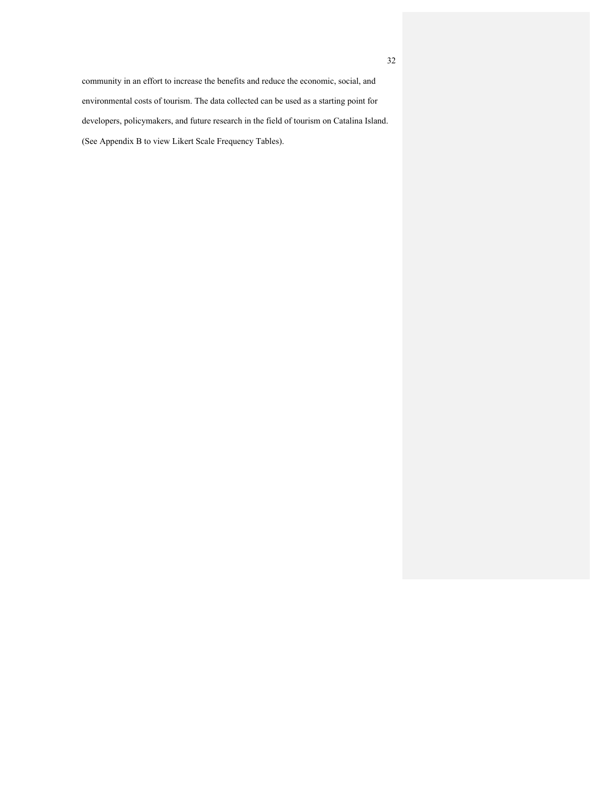community in an effort to increase the benefits and reduce the economic, social, and environmental costs of tourism. The data collected can be used as a starting point for developers, policymakers, and future research in the field of tourism on Catalina Island. (See Appendix B to view Likert Scale Frequency Tables).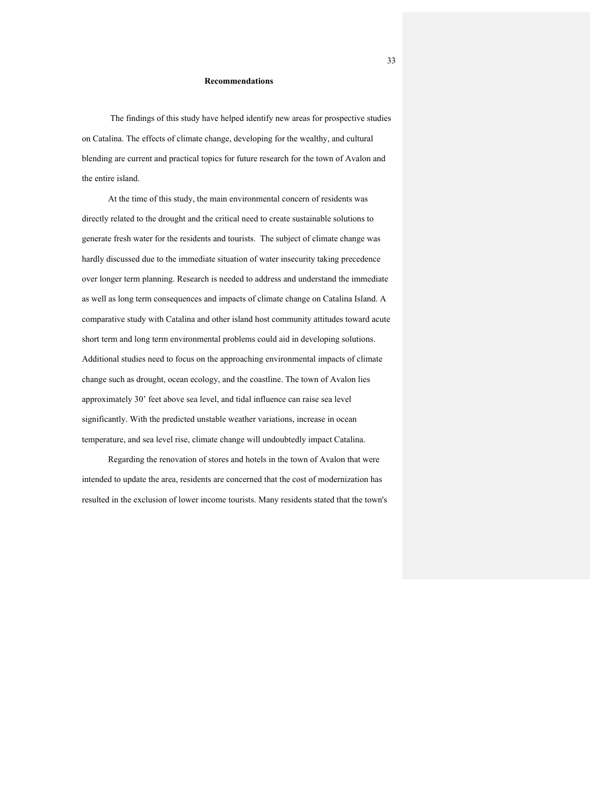## **Recommendations**

The findings of this study have helped identify new areas for prospective studies on Catalina. The effects of climate change, developing for the wealthy, and cultural blending are current and practical topics for future research for the town of Avalon and the entire island.

At the time of this study, the main environmental concern of residents was directly related to the drought and the critical need to create sustainable solutions to generate fresh water for the residents and tourists. The subject of climate change was hardly discussed due to the immediate situation of water insecurity taking precedence over longer term planning. Research is needed to address and understand the immediate as well as long term consequences and impacts of climate change on Catalina Island. A comparative study with Catalina and other island host community attitudes toward acute short term and long term environmental problems could aid in developing solutions. Additional studies need to focus on the approaching environmental impacts of climate change such as drought, ocean ecology, and the coastline. The town of Avalon lies approximately 30' feet above sea level, and tidal influence can raise sea level significantly. With the predicted unstable weather variations, increase in ocean temperature, and sea level rise, climate change will undoubtedly impact Catalina.

Regarding the renovation of stores and hotels in the town of Avalon that were intended to update the area, residents are concerned that the cost of modernization has resulted in the exclusion of lower income tourists. Many residents stated that the town's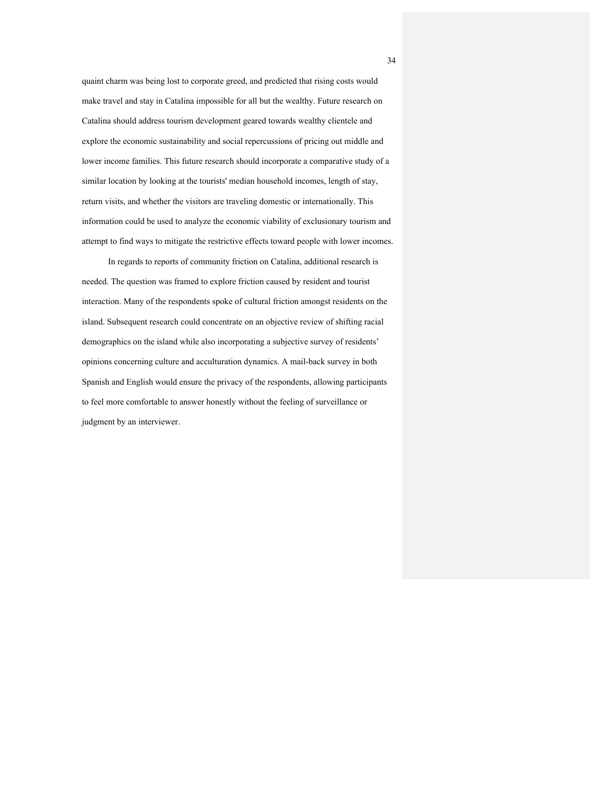quaint charm was being lost to corporate greed, and predicted that rising costs would make travel and stay in Catalina impossible for all but the wealthy. Future research on Catalina should address tourism development geared towards wealthy clientele and explore the economic sustainability and social repercussions of pricing out middle and lower income families. This future research should incorporate a comparative study of a similar location by looking at the tourists' median household incomes, length of stay, return visits, and whether the visitors are traveling domestic or internationally. This information could be used to analyze the economic viability of exclusionary tourism and attempt to find ways to mitigate the restrictive effects toward people with lower incomes.

In regards to reports of community friction on Catalina, additional research is needed. The question was framed to explore friction caused by resident and tourist interaction. Many of the respondents spoke of cultural friction amongst residents on the island. Subsequent research could concentrate on an objective review of shifting racial demographics on the island while also incorporating a subjective survey of residents' opinions concerning culture and acculturation dynamics. A mail-back survey in both Spanish and English would ensure the privacy of the respondents, allowing participants to feel more comfortable to answer honestly without the feeling of surveillance or judgment by an interviewer.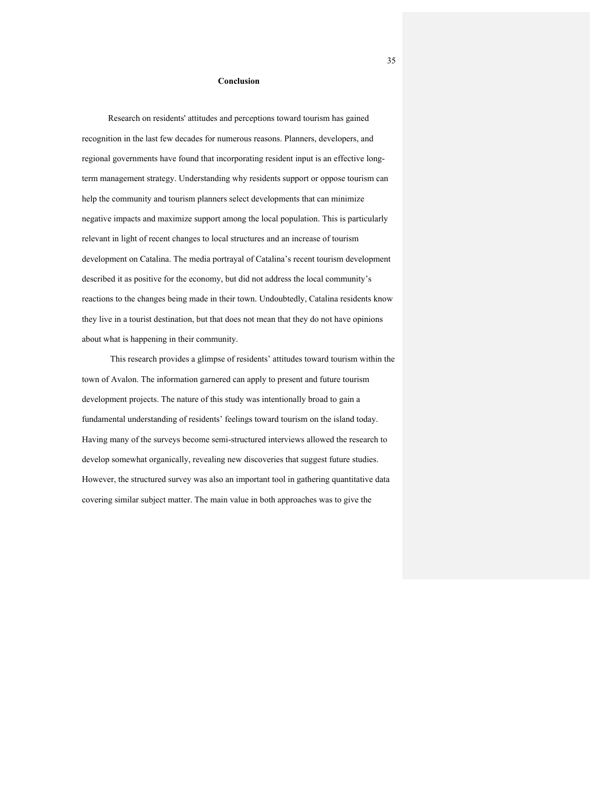### **Conclusion**

Research on residents' attitudes and perceptions toward tourism has gained recognition in the last few decades for numerous reasons. Planners, developers, and regional governments have found that incorporating resident input is an effective longterm management strategy. Understanding why residents support or oppose tourism can help the community and tourism planners select developments that can minimize negative impacts and maximize support among the local population. This is particularly relevant in light of recent changes to local structures and an increase of tourism development on Catalina. The media portrayal of Catalina's recent tourism development described it as positive for the economy, but did not address the local community's reactions to the changes being made in their town. Undoubtedly, Catalina residents know they live in a tourist destination, but that does not mean that they do not have opinions about what is happening in their community.

This research provides a glimpse of residents' attitudes toward tourism within the town of Avalon. The information garnered can apply to present and future tourism development projects. The nature of this study was intentionally broad to gain a fundamental understanding of residents' feelings toward tourism on the island today. Having many of the surveys become semi-structured interviews allowed the research to develop somewhat organically, revealing new discoveries that suggest future studies. However, the structured survey was also an important tool in gathering quantitative data covering similar subject matter. The main value in both approaches was to give the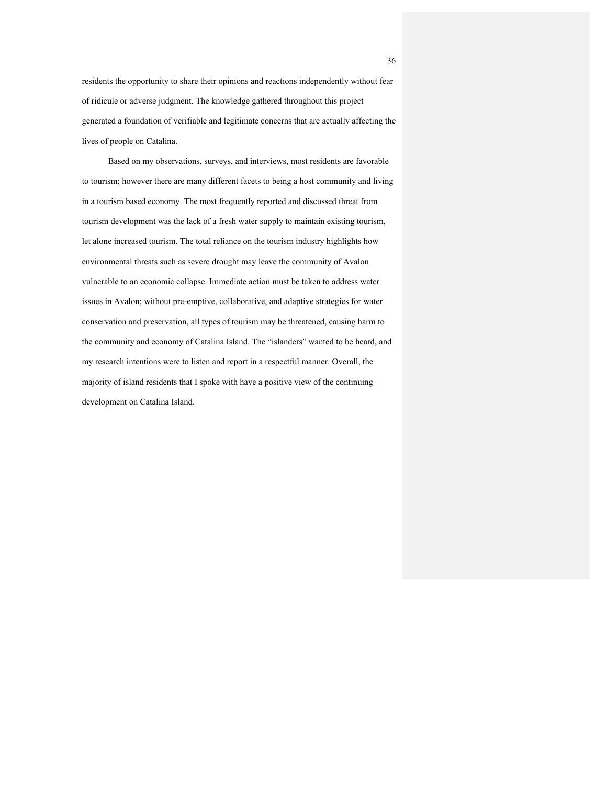residents the opportunity to share their opinions and reactions independently without fear of ridicule or adverse judgment. The knowledge gathered throughout this project generated a foundation of verifiable and legitimate concerns that are actually affecting the lives of people on Catalina.

Based on my observations, surveys, and interviews, most residents are favorable to tourism; however there are many different facets to being a host community and living in a tourism based economy. The most frequently reported and discussed threat from tourism development was the lack of a fresh water supply to maintain existing tourism, let alone increased tourism. The total reliance on the tourism industry highlights how environmental threats such as severe drought may leave the community of Avalon vulnerable to an economic collapse. Immediate action must be taken to address water issues in Avalon; without pre-emptive, collaborative, and adaptive strategies for water conservation and preservation, all types of tourism may be threatened, causing harm to the community and economy of Catalina Island. The "islanders" wanted to be heard, and my research intentions were to listen and report in a respectful manner. Overall, the majority of island residents that I spoke with have a positive view of the continuing development on Catalina Island.

36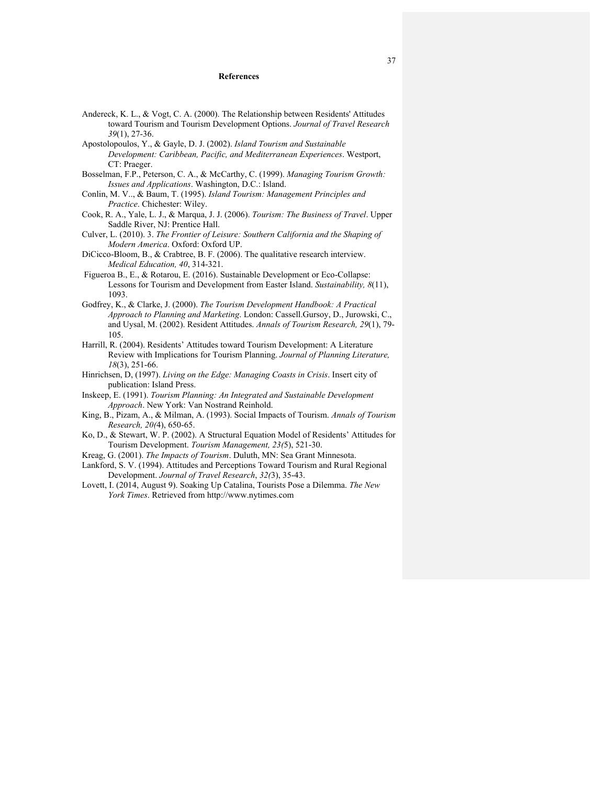### **References**

- Andereck, K. L., & Vogt, C. A. (2000). The Relationship between Residents' Attitudes toward Tourism and Tourism Development Options. *Journal of Travel Research 39*(1), 27-36.
- Apostolopoulos, Y., & Gayle, D. J. (2002). *Island Tourism and Sustainable Development: Caribbean, Pacific, and Mediterranean Experiences*. Westport, CT: Praeger.
- Bosselman, F.P., Peterson, C. A., & McCarthy, C. (1999). *Managing Tourism Growth: Issues and Applications*. Washington, D.C.: Island.
- Conlin, M. V.., & Baum, T. (1995). *Island Tourism: Management Principles and Practice*. Chichester: Wiley.
- Cook, R. A., Yale, L. J., & Marqua, J. J. (2006). *Tourism: The Business of Travel*. Upper Saddle River, NJ: Prentice Hall.
- Culver, L. (2010). 3. *The Frontier of Leisure: Southern California and the Shaping of Modern America*. Oxford: Oxford UP.
- DiCicco-Bloom, B., & Crabtree, B. F. (2006). The qualitative research interview. *Medical Education, 40*, 314-321.
- Figueroa B., E., & Rotarou, E. (2016). Sustainable Development or Eco-Collapse: Lessons for Tourism and Development from Easter Island. *Sustainability, 8*(11), 1093.
- Godfrey, K., & Clarke, J. (2000). *The Tourism Development Handbook: A Practical Approach to Planning and Marketing*. London: Cassell.Gursoy, D., Jurowski, C., and Uysal, M. (2002). Resident Attitudes. *Annals of Tourism Research, 29*(1), 79- 105.
- Harrill, R. (2004). Residents' Attitudes toward Tourism Development: A Literature Review with Implications for Tourism Planning. *Journal of Planning Literature, 18*(3), 251-66.
- Hinrichsen, D, (1997). *Living on the Edge: Managing Coasts in Crisis*. Insert city of publication: Island Press.
- Inskeep, E. (1991). *Tourism Planning: An Integrated and Sustainable Development Approach*. New York: Van Nostrand Reinhold.
- King, B., Pizam, A., & Milman, A. (1993). Social Impacts of Tourism. *Annals of Tourism Research, 20(*4), 650-65.
- Ko, D., & Stewart, W. P. (2002). A Structural Equation Model of Residents' Attitudes for Tourism Development. *Tourism Management, 23(*5), 521-30.
- Kreag, G. (2001). *The Impacts of Tourism*. Duluth, MN: Sea Grant Minnesota.
- Lankford, S. V. (1994). Attitudes and Perceptions Toward Tourism and Rural Regional Development. *Journal of Travel Research*, *32(*3), 35-43.
- Lovett, I. (2014, August 9). Soaking Up Catalina, Tourists Pose a Dilemma. *The New York Times*. Retrieved from http://www.nytimes.com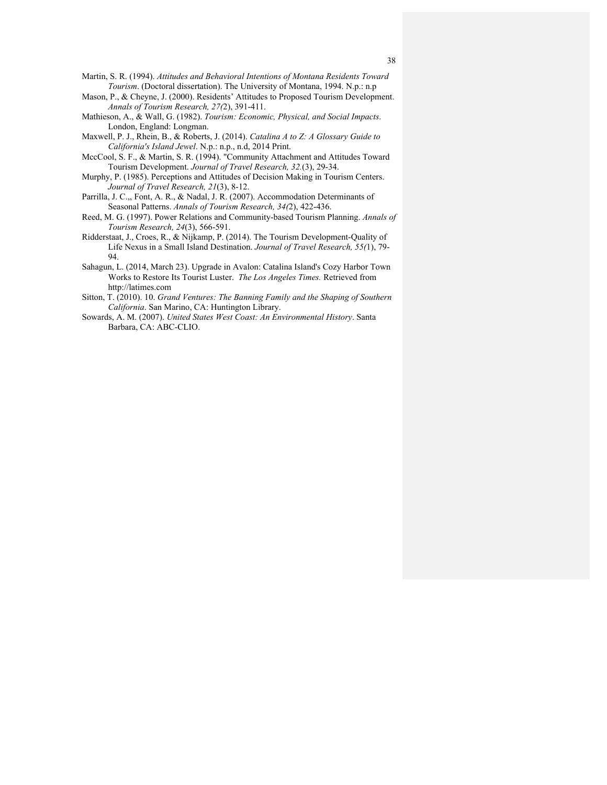- Mason, P., & Cheyne, J. (2000). Residents' Attitudes to Proposed Tourism Development. *Annals of Tourism Research, 27(*2), 391-411.
- Mathieson, A., & Wall, G. (1982). *Tourism: Economic, Physical, and Social Impacts*. London, England: Longman.
- Maxwell, P. J., Rhein, B., & Roberts, J. (2014). *Catalina A to Z: A Glossary Guide to California's Island Jewel*. N.p.: n.p., n.d, 2014 Print.
- MccCool, S. F., & Martin, S. R. (1994). "Community Attachment and Attitudes Toward Tourism Development. *Journal of Travel Research, 32.*(3), 29-34.
- Murphy, P. (1985). Perceptions and Attitudes of Decision Making in Tourism Centers. *Journal of Travel Research, 21*(3), 8-12.
- Parrilla, J. C.,, Font, A. R., & Nadal, J. R. (2007). Accommodation Determinants of Seasonal Patterns. *Annals of Tourism Research, 34(*2), 422-436.
- Reed, M. G. (1997). Power Relations and Community-based Tourism Planning. *Annals of Tourism Research, 24*(3), 566-591.
- Ridderstaat, J., Croes, R., & Nijkamp, P. (2014). The Tourism Development-Quality of Life Nexus in a Small Island Destination. *Journal of Travel Research, 55(*1), 79- 94.
- Sahagun, L. (2014, March 23). Upgrade in Avalon: Catalina Island's Cozy Harbor Town Works to Restore Its Tourist Luster. *The Los Angeles Times.* Retrieved from http://latimes.com
- Sitton, T. (2010). 10. *Grand Ventures: The Banning Family and the Shaping of Southern California*. San Marino, CA: Huntington Library.
- Sowards, A. M. (2007). *United States West Coast: An Environmental History*. Santa Barbara, CA: ABC-CLIO.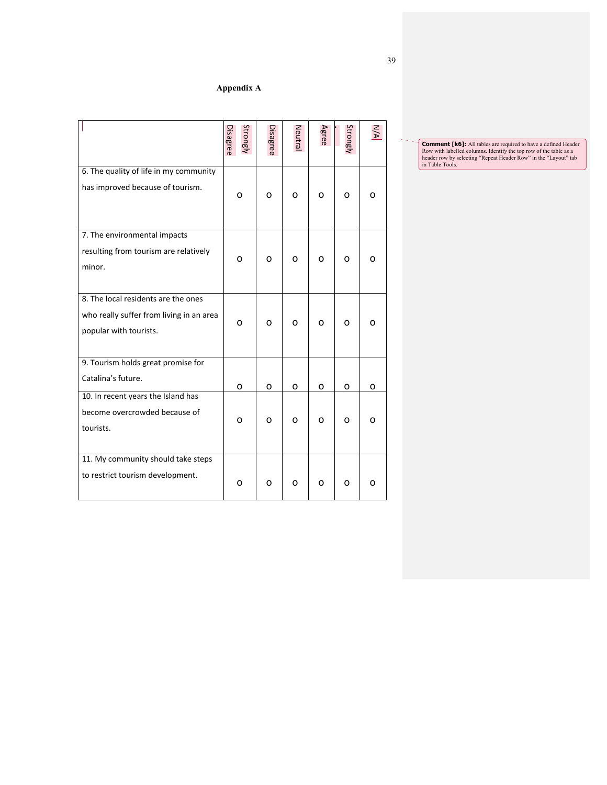# **Appendix A**

|                                                                                                           | Strongly<br>Disagree | Disagree | Neutra | Agree | Strongly | УN |
|-----------------------------------------------------------------------------------------------------------|----------------------|----------|--------|-------|----------|----|
| 6. The quality of life in my community<br>has improved because of tourism.                                | 0                    | 0        | 0      | 0     | 0        | 0  |
| 7. The environmental impacts<br>resulting from tourism are relatively<br>minor.                           | O                    | O        | O      | 0     | Ω        | O  |
| 8. The local residents are the ones<br>who really suffer from living in an area<br>popular with tourists. | o                    | o        | O      | 0     | O        | 0  |
| 9. Tourism holds great promise for<br>Catalina's future.                                                  | ο                    | o        | ο      | 0     | ο        | O  |
| 10. In recent years the Island has<br>become overcrowded because of<br>tourists.                          | ο                    | O        | Ω      | 0     | 0        | O  |
| 11. My community should take steps<br>to restrict tourism development.                                    | 0                    | O        | O      | ο     | O        | 0  |

**Comment [K6]:** All tables are required to have a defined Header Row with labelled columns. Identify the top row of the table as a header row by selecting "Repeat Header Row" in the "Layout" tab in Table Tools.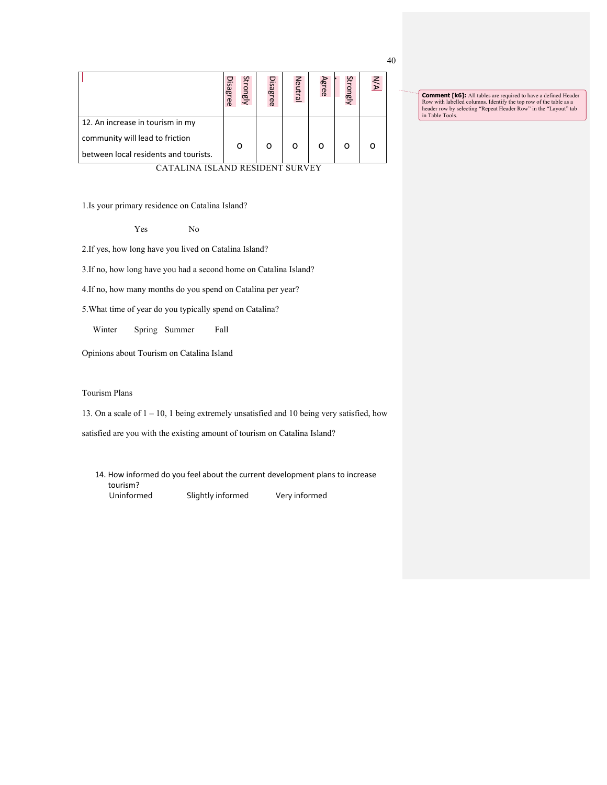|                                       | <b>Disagree</b> | Strongly | Disagree | Neutral | Agree | Strongly | N/A |  |
|---------------------------------------|-----------------|----------|----------|---------|-------|----------|-----|--|
| 12. An increase in tourism in my      |                 |          |          |         |       |          |     |  |
| community will lead to friction       |                 |          |          |         |       |          |     |  |
| between local residents and tourists. |                 | Ω        | ∩        | ∩       |       | ∩        |     |  |
| CATALINA ISLAND RESIDENT SURVEY       |                 |          |          |         |       |          |     |  |

1.Is your primary residence on Catalina Island?

Yes No

2.If yes, how long have you lived on Catalina Island?

3.If no, how long have you had a second home on Catalina Island?

4.If no, how many months do you spend on Catalina per year?

5.What time of year do you typically spend on Catalina?

Winter Spring Summer Fall

Opinions about Tourism on Catalina Island

Tourism Plans

13. On a scale of 1 – 10, 1 being extremely unsatisfied and 10 being very satisfied, how

satisfied are you with the existing amount of tourism on Catalina Island?

14. How informed do you feel about the current development plans to increase tourism?<br>Uninformed Slightly informed Very informed

40

**Comment [K6]:** All tables are required to have a defined Header Row with labelled columns. Identify the top row of the table as a header row by selecting "Repeat Header Row" in the "Layout" tab in Table Tools.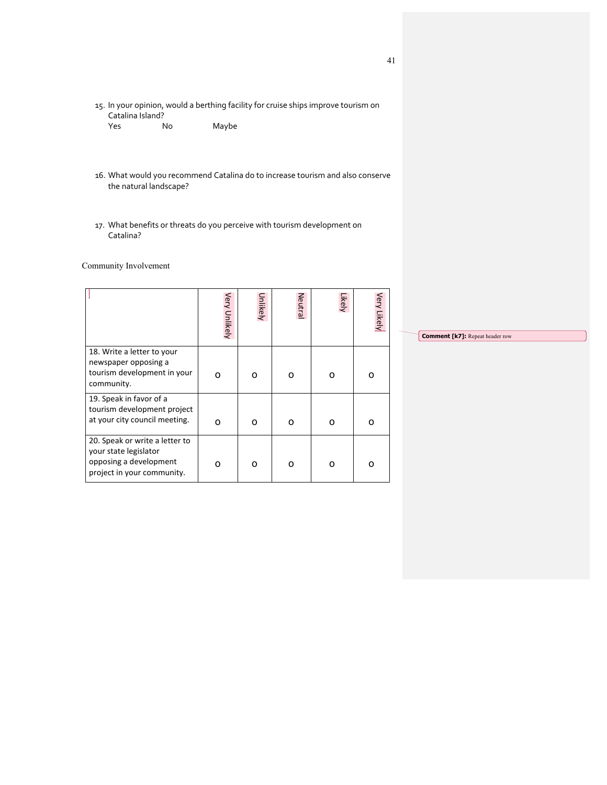- 15. In your opinion, would a berthing facility for cruise ships improve tourism on Catalina Island?<br>Yes No
	- Maybe
- 16. What would you recommend Catalina do to increase tourism and also conserve the natural landscape?
- 17. What benefits or threats do you perceive with tourism development on Catalina?

Community Involvement

|                                                                                                                 | Very Unlikely | Unlikely | Neutral | Likely | Very Likely |
|-----------------------------------------------------------------------------------------------------------------|---------------|----------|---------|--------|-------------|
| 18. Write a letter to your<br>newspaper opposing a<br>tourism development in your<br>community.                 | ი             | Ω        | O       | റ      | ი           |
| 19. Speak in favor of a<br>tourism development project<br>at your city council meeting.                         | ი             | Ω        | O       | ი      | ი           |
| 20. Speak or write a letter to<br>your state legislator<br>opposing a development<br>project in your community. | റ             | O        | ი       | റ      | ი           |

**Comment [k7]:** Repeat header row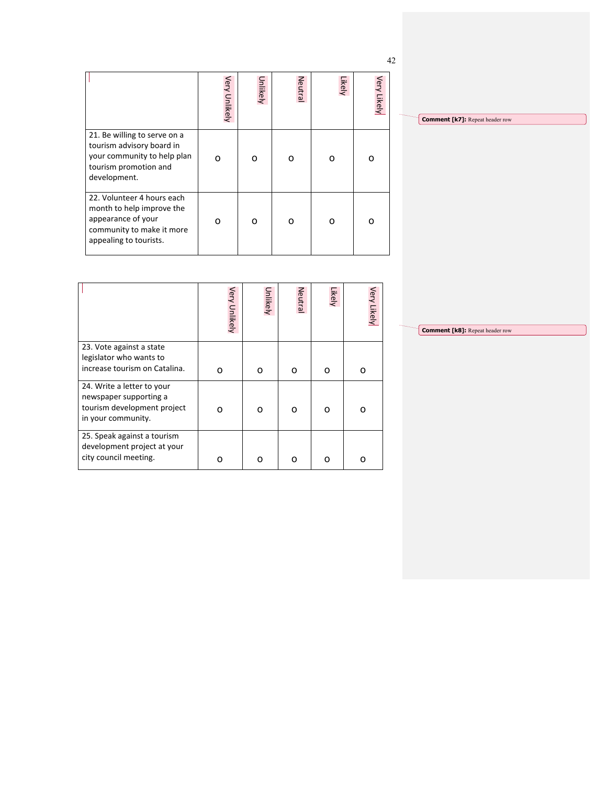|                                                                                                                                      |               |          |         |        |             | 42 |
|--------------------------------------------------------------------------------------------------------------------------------------|---------------|----------|---------|--------|-------------|----|
|                                                                                                                                      | Very Unlikely | Unlikely | Neutral | Likely | Very Likely |    |
| 21. Be willing to serve on a<br>tourism advisory board in<br>your community to help plan<br>tourism promotion and<br>development.    | റ             | O        | റ       | ∩      | Ω           |    |
| 22. Volunteer 4 hours each<br>month to help improve the<br>appearance of your<br>community to make it more<br>appealing to tourists. | O             | Ω        | റ       | O      | O           |    |

**Comment [k7]:** Repeat header row

|                                                                                      | Very Unlikely | Unlikely | Neutral | Likely | Very Likely |
|--------------------------------------------------------------------------------------|---------------|----------|---------|--------|-------------|
| 23. Vote against a state<br>legislator who wants to<br>increase tourism on Catalina. | o             | ο        | O       | O      | Ω           |
| 24. Write a letter to your                                                           |               |          |         |        |             |
| newspaper supporting a<br>tourism development project<br>in your community.          | O             | ი        | O       | O      |             |
| 25. Speak against a tourism<br>development project at your                           |               |          |         |        |             |
| city council meeting.                                                                | n             | ი        | റ       | റ      |             |

**Comment [k8]:** Repeat header row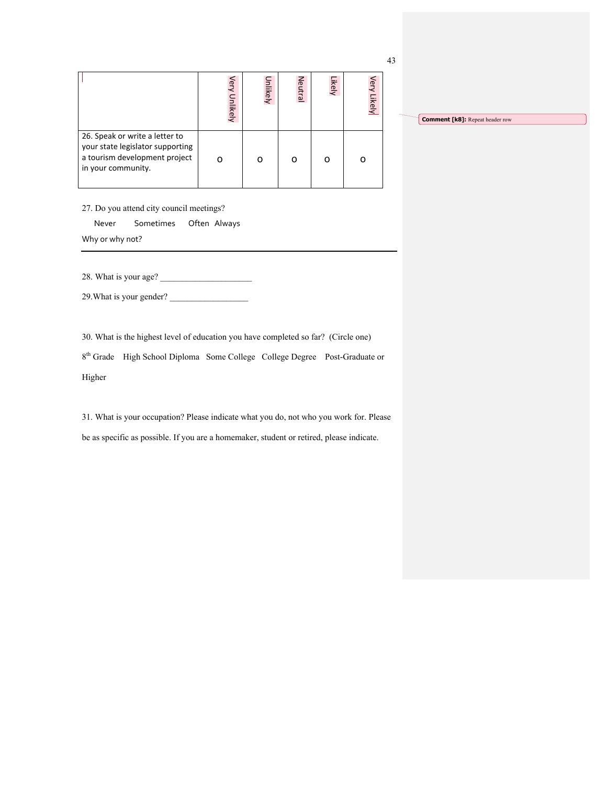|                                                                                                                           | Very Unlikely | Unlikely | Neutral | Likely | Very Likely |
|---------------------------------------------------------------------------------------------------------------------------|---------------|----------|---------|--------|-------------|
| 26. Speak or write a letter to<br>your state legislator supporting<br>a tourism development project<br>in your community. |               |          |         |        |             |

**Comment [k8]:** Repeat header row

27. Do you attend city council meetings?

Never Sometimes Often Always

Why or why not?

28. What is your age?

29. What is your gender?

30. What is the highest level of education you have completed so far? (Circle one)

8th Grade High School Diploma Some College College Degree Post-Graduate or Higher

31. What is your occupation? Please indicate what you do, not who you work for. Please be as specific as possible. If you are a homemaker, student or retired, please indicate.

43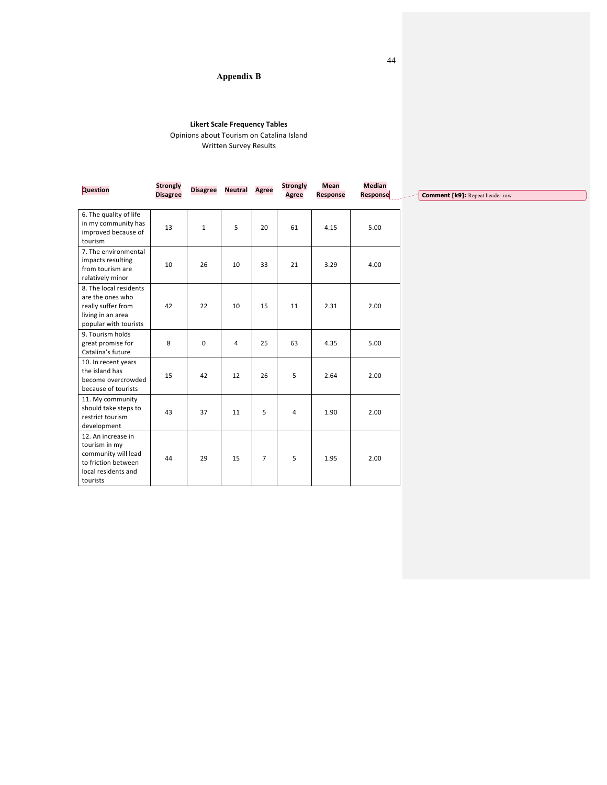## **Appendix B**

## **Likert Scale Frequency Tables**

Opinions about Tourism on Catalina Island Written Survey Results

| Question                                                                                                             | <b>Strongly</b> |             | <b>Disagree Neutral</b> | <b>Agree</b>   | <b>Strongly</b> | <b>Mean</b>     | <b>Median</b> |                                        |
|----------------------------------------------------------------------------------------------------------------------|-----------------|-------------|-------------------------|----------------|-----------------|-----------------|---------------|----------------------------------------|
|                                                                                                                      | <b>Disagree</b> |             |                         |                | <b>Agree</b>    | <b>Response</b> | Response      | <b>Comment [k9]:</b> Repeat header row |
| 6. The quality of life<br>in my community has<br>improved because of<br>tourism                                      | 13              | $\mathbf 1$ | 5                       | 20             | 61              | 4.15            | 5.00          |                                        |
| 7. The environmental<br>impacts resulting<br>from tourism are<br>relatively minor                                    | 10              | 26          | 10                      | 33             | 21              | 3.29            | 4.00          |                                        |
| 8. The local residents<br>are the ones who<br>really suffer from<br>living in an area<br>popular with tourists       | 42              | 22          | 10                      | 15             | 11              | 2.31            | 2.00          |                                        |
| 9. Tourism holds<br>great promise for<br>Catalina's future                                                           | 8               | 0           | $\overline{4}$          | 25             | 63              | 4.35            | 5.00          |                                        |
| 10. In recent years<br>the island has<br>become overcrowded<br>because of tourists                                   | 15              | 42          | 12                      | 26             | 5               | 2.64            | 2.00          |                                        |
| 11. My community<br>should take steps to<br>restrict tourism<br>development                                          | 43              | 37          | 11                      | 5              | 4               | 1.90            | 2.00          |                                        |
| 12. An increase in<br>tourism in my<br>community will lead<br>to friction between<br>local residents and<br>tourists | 44              | 29          | 15                      | $\overline{7}$ | 5               | 1.95            | 2.00          |                                        |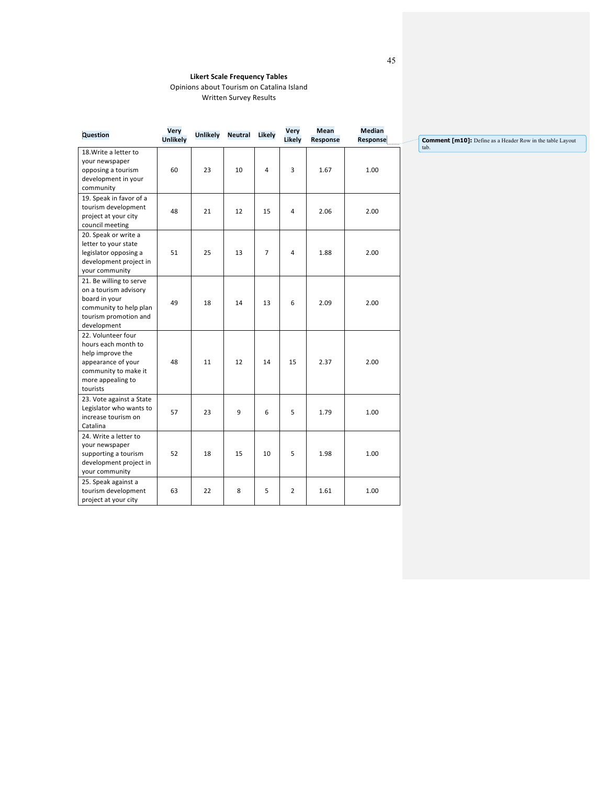Opinions about Tourism on Catalina Island Written Survey Results

| <b>Question</b>                                                                                                                              | Very<br><b>Unlikely</b> | <b>Unlikely</b> | <b>Neutral</b> | Likely         | Very<br>Likely | <b>Mean</b><br>Response | <b>Median</b><br>Response |
|----------------------------------------------------------------------------------------------------------------------------------------------|-------------------------|-----------------|----------------|----------------|----------------|-------------------------|---------------------------|
| 18. Write a letter to<br>your newspaper<br>opposing a tourism<br>development in your<br>community                                            | 60                      | 23              | 10             | 4              | 3              | 1.67                    | 1.00                      |
| 19. Speak in favor of a<br>tourism development<br>project at your city<br>council meeting                                                    | 48                      | 21              | 12             | 15             | 4              | 2.06                    | 2.00                      |
| 20. Speak or write a<br>letter to your state<br>legislator opposing a<br>development project in<br>your community                            | 51                      | 25              | 13             | $\overline{7}$ | 4              | 1.88                    | 2.00                      |
| 21. Be willing to serve<br>on a tourism advisory<br>board in your<br>community to help plan<br>tourism promotion and<br>development          | 49                      | 18              | 14             | 13             | 6              | 2.09                    | 2.00                      |
| 22. Volunteer four<br>hours each month to<br>help improve the<br>appearance of your<br>community to make it<br>more appealing to<br>tourists | 48                      | 11              | 12             | 14             | 15             | 2.37                    | 2.00                      |
| 23. Vote against a State<br>Legislator who wants to<br>increase tourism on<br>Catalina                                                       | 57                      | 23              | 9              | 6              | 5              | 1.79                    | 1.00                      |
| 24. Write a letter to<br>your newspaper<br>supporting a tourism<br>development project in<br>your community                                  | 52                      | 18              | 15             | 10             | 5              | 1.98                    | 1.00                      |
| 25. Speak against a<br>tourism development<br>project at your city                                                                           | 63                      | 22              | 8              | 5              | $\overline{2}$ | 1.61                    | 1.00                      |

**Comment [m10]:** Define as a Header Row in the table Layout tab.